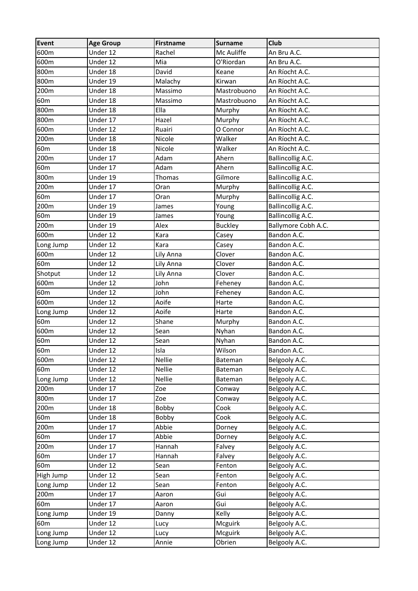| 600m<br>Under 12<br>Rachel<br>Mc Auliffe<br>An Bru A.C.<br>600m<br>Under 12<br>Mia<br>O'Riordan<br>An Bru A.C.<br>800m<br>David<br>Under 18<br>Keane<br>An Ríocht A.C.<br>800m<br>Under 19<br>Kirwan<br>An Ríocht A.C.<br>Malachy<br>200m<br>Under 18<br>Mastrobuono<br>Massimo<br>An Ríocht A.C.<br>60 <sub>m</sub><br>Under 18<br>Massimo<br>Mastrobuono<br>An Ríocht A.C.<br>800m<br>Ella<br>Under 18<br>Murphy<br>An Ríocht A.C.<br>800m<br>Under 17<br>Hazel<br>An Ríocht A.C.<br>Murphy<br>600m<br>O Connor<br>Under 12<br>Ruairi<br>An Ríocht A.C.<br>200m<br>Walker<br>Under 18<br>Nicole<br>An Ríocht A.C.<br>60 <sub>m</sub><br>Under 18<br>Nicole<br>Walker<br>An Ríocht A.C.<br>200m<br>Under 17<br>Adam<br>Ahern<br><b>Ballincollig A.C.</b><br>Adam<br>60 <sub>m</sub><br>Under 17<br>Ahern<br><b>Ballincollig A.C.</b><br>800m<br><b>Ballincollig A.C.</b><br>Under 19<br>Gilmore<br>Thomas<br>200m<br>Under 17<br><b>Ballincollig A.C.</b><br>Oran<br>Murphy<br>60 <sub>m</sub><br><b>Ballincollig A.C.</b><br>Under 17<br>Murphy<br>Oran<br>Ballincollig A.C.<br>200m<br>Under 19<br>Young<br>James<br>60 <sub>m</sub><br>Ballincollig A.C.<br>Under 19<br>Young<br>James<br>Alex<br>Ballymore Cobh A.C.<br>200m<br>Under 19<br><b>Buckley</b><br>600m<br>Under 12<br>Kara<br>Bandon A.C.<br>Casey<br>Under 12<br>Bandon A.C.<br>Long Jump<br>Kara<br>Casey<br>600m<br>Under 12<br>Lily Anna<br>Bandon A.C.<br>Clover<br>60 <sub>m</sub><br>Under 12<br>Bandon A.C.<br>Lily Anna<br>Clover<br>Shotput<br>Under 12<br>Lily Anna<br>Clover<br>Bandon A.C.<br>600m<br>John<br>Under 12<br>Bandon A.C.<br>Feheney<br>60 <sub>m</sub><br>Under 12<br>John<br>Bandon A.C.<br>Feheney<br>Aoife<br>600m<br>Under 12<br>Harte<br>Bandon A.C.<br>Aoife<br>Under 12<br>Bandon A.C.<br>Long Jump<br>Harte<br>60 <sub>m</sub><br>Under 12<br>Shane<br>Bandon A.C.<br>Murphy<br>600m<br>Under 12<br>Sean<br>Nyhan<br>Bandon A.C.<br>60 <sub>m</sub><br>Sean<br>Under 12<br>Nyhan<br>Bandon A.C.<br>60 <sub>m</sub><br>Isla<br>Under 12<br>Wilson<br>Bandon A.C.<br>600m<br><b>Nellie</b><br>Under 12<br>Bateman<br>Belgooly A.C.<br>Nellie<br>60 <sub>m</sub><br>Under 12<br>Belgooly A.C.<br>Bateman<br>Nellie<br>Under 12<br>Belgooly A.C.<br>Long Jump<br>Bateman<br>Belgooly A.C.<br>200m<br>Under 17<br>Zoe<br>Conway<br>800m<br>Under 17<br>Belgooly A.C.<br>Zoe<br>Conway<br>Under 18<br>200m<br>Bobby<br>Cook<br>Belgooly A.C.<br>Under 18<br>60 <sub>m</sub><br>Bobby<br>Belgooly A.C.<br>Cook<br>200m<br>Under 17<br>Abbie<br>Belgooly A.C.<br>Dorney |
|--------------------------------------------------------------------------------------------------------------------------------------------------------------------------------------------------------------------------------------------------------------------------------------------------------------------------------------------------------------------------------------------------------------------------------------------------------------------------------------------------------------------------------------------------------------------------------------------------------------------------------------------------------------------------------------------------------------------------------------------------------------------------------------------------------------------------------------------------------------------------------------------------------------------------------------------------------------------------------------------------------------------------------------------------------------------------------------------------------------------------------------------------------------------------------------------------------------------------------------------------------------------------------------------------------------------------------------------------------------------------------------------------------------------------------------------------------------------------------------------------------------------------------------------------------------------------------------------------------------------------------------------------------------------------------------------------------------------------------------------------------------------------------------------------------------------------------------------------------------------------------------------------------------------------------------------------------------------------------------------------------------------------------------------------------------------------------------------------------------------------------------------------------------------------------------------------------------------------------------------------------------------------------------------------------------------------------------------------------------------------------------------------------------------------------------------------------------------------------------------------------------------------------------------------------------------|
|                                                                                                                                                                                                                                                                                                                                                                                                                                                                                                                                                                                                                                                                                                                                                                                                                                                                                                                                                                                                                                                                                                                                                                                                                                                                                                                                                                                                                                                                                                                                                                                                                                                                                                                                                                                                                                                                                                                                                                                                                                                                                                                                                                                                                                                                                                                                                                                                                                                                                                                                                                    |
|                                                                                                                                                                                                                                                                                                                                                                                                                                                                                                                                                                                                                                                                                                                                                                                                                                                                                                                                                                                                                                                                                                                                                                                                                                                                                                                                                                                                                                                                                                                                                                                                                                                                                                                                                                                                                                                                                                                                                                                                                                                                                                                                                                                                                                                                                                                                                                                                                                                                                                                                                                    |
|                                                                                                                                                                                                                                                                                                                                                                                                                                                                                                                                                                                                                                                                                                                                                                                                                                                                                                                                                                                                                                                                                                                                                                                                                                                                                                                                                                                                                                                                                                                                                                                                                                                                                                                                                                                                                                                                                                                                                                                                                                                                                                                                                                                                                                                                                                                                                                                                                                                                                                                                                                    |
|                                                                                                                                                                                                                                                                                                                                                                                                                                                                                                                                                                                                                                                                                                                                                                                                                                                                                                                                                                                                                                                                                                                                                                                                                                                                                                                                                                                                                                                                                                                                                                                                                                                                                                                                                                                                                                                                                                                                                                                                                                                                                                                                                                                                                                                                                                                                                                                                                                                                                                                                                                    |
|                                                                                                                                                                                                                                                                                                                                                                                                                                                                                                                                                                                                                                                                                                                                                                                                                                                                                                                                                                                                                                                                                                                                                                                                                                                                                                                                                                                                                                                                                                                                                                                                                                                                                                                                                                                                                                                                                                                                                                                                                                                                                                                                                                                                                                                                                                                                                                                                                                                                                                                                                                    |
|                                                                                                                                                                                                                                                                                                                                                                                                                                                                                                                                                                                                                                                                                                                                                                                                                                                                                                                                                                                                                                                                                                                                                                                                                                                                                                                                                                                                                                                                                                                                                                                                                                                                                                                                                                                                                                                                                                                                                                                                                                                                                                                                                                                                                                                                                                                                                                                                                                                                                                                                                                    |
|                                                                                                                                                                                                                                                                                                                                                                                                                                                                                                                                                                                                                                                                                                                                                                                                                                                                                                                                                                                                                                                                                                                                                                                                                                                                                                                                                                                                                                                                                                                                                                                                                                                                                                                                                                                                                                                                                                                                                                                                                                                                                                                                                                                                                                                                                                                                                                                                                                                                                                                                                                    |
|                                                                                                                                                                                                                                                                                                                                                                                                                                                                                                                                                                                                                                                                                                                                                                                                                                                                                                                                                                                                                                                                                                                                                                                                                                                                                                                                                                                                                                                                                                                                                                                                                                                                                                                                                                                                                                                                                                                                                                                                                                                                                                                                                                                                                                                                                                                                                                                                                                                                                                                                                                    |
|                                                                                                                                                                                                                                                                                                                                                                                                                                                                                                                                                                                                                                                                                                                                                                                                                                                                                                                                                                                                                                                                                                                                                                                                                                                                                                                                                                                                                                                                                                                                                                                                                                                                                                                                                                                                                                                                                                                                                                                                                                                                                                                                                                                                                                                                                                                                                                                                                                                                                                                                                                    |
|                                                                                                                                                                                                                                                                                                                                                                                                                                                                                                                                                                                                                                                                                                                                                                                                                                                                                                                                                                                                                                                                                                                                                                                                                                                                                                                                                                                                                                                                                                                                                                                                                                                                                                                                                                                                                                                                                                                                                                                                                                                                                                                                                                                                                                                                                                                                                                                                                                                                                                                                                                    |
|                                                                                                                                                                                                                                                                                                                                                                                                                                                                                                                                                                                                                                                                                                                                                                                                                                                                                                                                                                                                                                                                                                                                                                                                                                                                                                                                                                                                                                                                                                                                                                                                                                                                                                                                                                                                                                                                                                                                                                                                                                                                                                                                                                                                                                                                                                                                                                                                                                                                                                                                                                    |
|                                                                                                                                                                                                                                                                                                                                                                                                                                                                                                                                                                                                                                                                                                                                                                                                                                                                                                                                                                                                                                                                                                                                                                                                                                                                                                                                                                                                                                                                                                                                                                                                                                                                                                                                                                                                                                                                                                                                                                                                                                                                                                                                                                                                                                                                                                                                                                                                                                                                                                                                                                    |
|                                                                                                                                                                                                                                                                                                                                                                                                                                                                                                                                                                                                                                                                                                                                                                                                                                                                                                                                                                                                                                                                                                                                                                                                                                                                                                                                                                                                                                                                                                                                                                                                                                                                                                                                                                                                                                                                                                                                                                                                                                                                                                                                                                                                                                                                                                                                                                                                                                                                                                                                                                    |
|                                                                                                                                                                                                                                                                                                                                                                                                                                                                                                                                                                                                                                                                                                                                                                                                                                                                                                                                                                                                                                                                                                                                                                                                                                                                                                                                                                                                                                                                                                                                                                                                                                                                                                                                                                                                                                                                                                                                                                                                                                                                                                                                                                                                                                                                                                                                                                                                                                                                                                                                                                    |
|                                                                                                                                                                                                                                                                                                                                                                                                                                                                                                                                                                                                                                                                                                                                                                                                                                                                                                                                                                                                                                                                                                                                                                                                                                                                                                                                                                                                                                                                                                                                                                                                                                                                                                                                                                                                                                                                                                                                                                                                                                                                                                                                                                                                                                                                                                                                                                                                                                                                                                                                                                    |
|                                                                                                                                                                                                                                                                                                                                                                                                                                                                                                                                                                                                                                                                                                                                                                                                                                                                                                                                                                                                                                                                                                                                                                                                                                                                                                                                                                                                                                                                                                                                                                                                                                                                                                                                                                                                                                                                                                                                                                                                                                                                                                                                                                                                                                                                                                                                                                                                                                                                                                                                                                    |
|                                                                                                                                                                                                                                                                                                                                                                                                                                                                                                                                                                                                                                                                                                                                                                                                                                                                                                                                                                                                                                                                                                                                                                                                                                                                                                                                                                                                                                                                                                                                                                                                                                                                                                                                                                                                                                                                                                                                                                                                                                                                                                                                                                                                                                                                                                                                                                                                                                                                                                                                                                    |
|                                                                                                                                                                                                                                                                                                                                                                                                                                                                                                                                                                                                                                                                                                                                                                                                                                                                                                                                                                                                                                                                                                                                                                                                                                                                                                                                                                                                                                                                                                                                                                                                                                                                                                                                                                                                                                                                                                                                                                                                                                                                                                                                                                                                                                                                                                                                                                                                                                                                                                                                                                    |
|                                                                                                                                                                                                                                                                                                                                                                                                                                                                                                                                                                                                                                                                                                                                                                                                                                                                                                                                                                                                                                                                                                                                                                                                                                                                                                                                                                                                                                                                                                                                                                                                                                                                                                                                                                                                                                                                                                                                                                                                                                                                                                                                                                                                                                                                                                                                                                                                                                                                                                                                                                    |
|                                                                                                                                                                                                                                                                                                                                                                                                                                                                                                                                                                                                                                                                                                                                                                                                                                                                                                                                                                                                                                                                                                                                                                                                                                                                                                                                                                                                                                                                                                                                                                                                                                                                                                                                                                                                                                                                                                                                                                                                                                                                                                                                                                                                                                                                                                                                                                                                                                                                                                                                                                    |
|                                                                                                                                                                                                                                                                                                                                                                                                                                                                                                                                                                                                                                                                                                                                                                                                                                                                                                                                                                                                                                                                                                                                                                                                                                                                                                                                                                                                                                                                                                                                                                                                                                                                                                                                                                                                                                                                                                                                                                                                                                                                                                                                                                                                                                                                                                                                                                                                                                                                                                                                                                    |
|                                                                                                                                                                                                                                                                                                                                                                                                                                                                                                                                                                                                                                                                                                                                                                                                                                                                                                                                                                                                                                                                                                                                                                                                                                                                                                                                                                                                                                                                                                                                                                                                                                                                                                                                                                                                                                                                                                                                                                                                                                                                                                                                                                                                                                                                                                                                                                                                                                                                                                                                                                    |
|                                                                                                                                                                                                                                                                                                                                                                                                                                                                                                                                                                                                                                                                                                                                                                                                                                                                                                                                                                                                                                                                                                                                                                                                                                                                                                                                                                                                                                                                                                                                                                                                                                                                                                                                                                                                                                                                                                                                                                                                                                                                                                                                                                                                                                                                                                                                                                                                                                                                                                                                                                    |
|                                                                                                                                                                                                                                                                                                                                                                                                                                                                                                                                                                                                                                                                                                                                                                                                                                                                                                                                                                                                                                                                                                                                                                                                                                                                                                                                                                                                                                                                                                                                                                                                                                                                                                                                                                                                                                                                                                                                                                                                                                                                                                                                                                                                                                                                                                                                                                                                                                                                                                                                                                    |
|                                                                                                                                                                                                                                                                                                                                                                                                                                                                                                                                                                                                                                                                                                                                                                                                                                                                                                                                                                                                                                                                                                                                                                                                                                                                                                                                                                                                                                                                                                                                                                                                                                                                                                                                                                                                                                                                                                                                                                                                                                                                                                                                                                                                                                                                                                                                                                                                                                                                                                                                                                    |
|                                                                                                                                                                                                                                                                                                                                                                                                                                                                                                                                                                                                                                                                                                                                                                                                                                                                                                                                                                                                                                                                                                                                                                                                                                                                                                                                                                                                                                                                                                                                                                                                                                                                                                                                                                                                                                                                                                                                                                                                                                                                                                                                                                                                                                                                                                                                                                                                                                                                                                                                                                    |
|                                                                                                                                                                                                                                                                                                                                                                                                                                                                                                                                                                                                                                                                                                                                                                                                                                                                                                                                                                                                                                                                                                                                                                                                                                                                                                                                                                                                                                                                                                                                                                                                                                                                                                                                                                                                                                                                                                                                                                                                                                                                                                                                                                                                                                                                                                                                                                                                                                                                                                                                                                    |
|                                                                                                                                                                                                                                                                                                                                                                                                                                                                                                                                                                                                                                                                                                                                                                                                                                                                                                                                                                                                                                                                                                                                                                                                                                                                                                                                                                                                                                                                                                                                                                                                                                                                                                                                                                                                                                                                                                                                                                                                                                                                                                                                                                                                                                                                                                                                                                                                                                                                                                                                                                    |
|                                                                                                                                                                                                                                                                                                                                                                                                                                                                                                                                                                                                                                                                                                                                                                                                                                                                                                                                                                                                                                                                                                                                                                                                                                                                                                                                                                                                                                                                                                                                                                                                                                                                                                                                                                                                                                                                                                                                                                                                                                                                                                                                                                                                                                                                                                                                                                                                                                                                                                                                                                    |
|                                                                                                                                                                                                                                                                                                                                                                                                                                                                                                                                                                                                                                                                                                                                                                                                                                                                                                                                                                                                                                                                                                                                                                                                                                                                                                                                                                                                                                                                                                                                                                                                                                                                                                                                                                                                                                                                                                                                                                                                                                                                                                                                                                                                                                                                                                                                                                                                                                                                                                                                                                    |
|                                                                                                                                                                                                                                                                                                                                                                                                                                                                                                                                                                                                                                                                                                                                                                                                                                                                                                                                                                                                                                                                                                                                                                                                                                                                                                                                                                                                                                                                                                                                                                                                                                                                                                                                                                                                                                                                                                                                                                                                                                                                                                                                                                                                                                                                                                                                                                                                                                                                                                                                                                    |
|                                                                                                                                                                                                                                                                                                                                                                                                                                                                                                                                                                                                                                                                                                                                                                                                                                                                                                                                                                                                                                                                                                                                                                                                                                                                                                                                                                                                                                                                                                                                                                                                                                                                                                                                                                                                                                                                                                                                                                                                                                                                                                                                                                                                                                                                                                                                                                                                                                                                                                                                                                    |
|                                                                                                                                                                                                                                                                                                                                                                                                                                                                                                                                                                                                                                                                                                                                                                                                                                                                                                                                                                                                                                                                                                                                                                                                                                                                                                                                                                                                                                                                                                                                                                                                                                                                                                                                                                                                                                                                                                                                                                                                                                                                                                                                                                                                                                                                                                                                                                                                                                                                                                                                                                    |
|                                                                                                                                                                                                                                                                                                                                                                                                                                                                                                                                                                                                                                                                                                                                                                                                                                                                                                                                                                                                                                                                                                                                                                                                                                                                                                                                                                                                                                                                                                                                                                                                                                                                                                                                                                                                                                                                                                                                                                                                                                                                                                                                                                                                                                                                                                                                                                                                                                                                                                                                                                    |
|                                                                                                                                                                                                                                                                                                                                                                                                                                                                                                                                                                                                                                                                                                                                                                                                                                                                                                                                                                                                                                                                                                                                                                                                                                                                                                                                                                                                                                                                                                                                                                                                                                                                                                                                                                                                                                                                                                                                                                                                                                                                                                                                                                                                                                                                                                                                                                                                                                                                                                                                                                    |
|                                                                                                                                                                                                                                                                                                                                                                                                                                                                                                                                                                                                                                                                                                                                                                                                                                                                                                                                                                                                                                                                                                                                                                                                                                                                                                                                                                                                                                                                                                                                                                                                                                                                                                                                                                                                                                                                                                                                                                                                                                                                                                                                                                                                                                                                                                                                                                                                                                                                                                                                                                    |
|                                                                                                                                                                                                                                                                                                                                                                                                                                                                                                                                                                                                                                                                                                                                                                                                                                                                                                                                                                                                                                                                                                                                                                                                                                                                                                                                                                                                                                                                                                                                                                                                                                                                                                                                                                                                                                                                                                                                                                                                                                                                                                                                                                                                                                                                                                                                                                                                                                                                                                                                                                    |
|                                                                                                                                                                                                                                                                                                                                                                                                                                                                                                                                                                                                                                                                                                                                                                                                                                                                                                                                                                                                                                                                                                                                                                                                                                                                                                                                                                                                                                                                                                                                                                                                                                                                                                                                                                                                                                                                                                                                                                                                                                                                                                                                                                                                                                                                                                                                                                                                                                                                                                                                                                    |
|                                                                                                                                                                                                                                                                                                                                                                                                                                                                                                                                                                                                                                                                                                                                                                                                                                                                                                                                                                                                                                                                                                                                                                                                                                                                                                                                                                                                                                                                                                                                                                                                                                                                                                                                                                                                                                                                                                                                                                                                                                                                                                                                                                                                                                                                                                                                                                                                                                                                                                                                                                    |
|                                                                                                                                                                                                                                                                                                                                                                                                                                                                                                                                                                                                                                                                                                                                                                                                                                                                                                                                                                                                                                                                                                                                                                                                                                                                                                                                                                                                                                                                                                                                                                                                                                                                                                                                                                                                                                                                                                                                                                                                                                                                                                                                                                                                                                                                                                                                                                                                                                                                                                                                                                    |
| Abbie<br>60 <sub>m</sub><br>Under 17<br>Belgooly A.C.<br>Dorney                                                                                                                                                                                                                                                                                                                                                                                                                                                                                                                                                                                                                                                                                                                                                                                                                                                                                                                                                                                                                                                                                                                                                                                                                                                                                                                                                                                                                                                                                                                                                                                                                                                                                                                                                                                                                                                                                                                                                                                                                                                                                                                                                                                                                                                                                                                                                                                                                                                                                                    |
| 200m<br>Under 17<br>Hannah<br>Belgooly A.C.<br>Falvey                                                                                                                                                                                                                                                                                                                                                                                                                                                                                                                                                                                                                                                                                                                                                                                                                                                                                                                                                                                                                                                                                                                                                                                                                                                                                                                                                                                                                                                                                                                                                                                                                                                                                                                                                                                                                                                                                                                                                                                                                                                                                                                                                                                                                                                                                                                                                                                                                                                                                                              |
| 60 <sub>m</sub><br>Under 17<br>Hannah<br>Belgooly A.C.<br>Falvey                                                                                                                                                                                                                                                                                                                                                                                                                                                                                                                                                                                                                                                                                                                                                                                                                                                                                                                                                                                                                                                                                                                                                                                                                                                                                                                                                                                                                                                                                                                                                                                                                                                                                                                                                                                                                                                                                                                                                                                                                                                                                                                                                                                                                                                                                                                                                                                                                                                                                                   |
| Under 12<br>Belgooly A.C.<br>60 <sub>m</sub><br>Sean<br>Fenton                                                                                                                                                                                                                                                                                                                                                                                                                                                                                                                                                                                                                                                                                                                                                                                                                                                                                                                                                                                                                                                                                                                                                                                                                                                                                                                                                                                                                                                                                                                                                                                                                                                                                                                                                                                                                                                                                                                                                                                                                                                                                                                                                                                                                                                                                                                                                                                                                                                                                                     |
| Under 12<br>Sean<br>Belgooly A.C.<br>High Jump<br>Fenton                                                                                                                                                                                                                                                                                                                                                                                                                                                                                                                                                                                                                                                                                                                                                                                                                                                                                                                                                                                                                                                                                                                                                                                                                                                                                                                                                                                                                                                                                                                                                                                                                                                                                                                                                                                                                                                                                                                                                                                                                                                                                                                                                                                                                                                                                                                                                                                                                                                                                                           |
| Under 12<br>Belgooly A.C.<br>Long Jump<br>Sean<br>Fenton                                                                                                                                                                                                                                                                                                                                                                                                                                                                                                                                                                                                                                                                                                                                                                                                                                                                                                                                                                                                                                                                                                                                                                                                                                                                                                                                                                                                                                                                                                                                                                                                                                                                                                                                                                                                                                                                                                                                                                                                                                                                                                                                                                                                                                                                                                                                                                                                                                                                                                           |
| 200m<br>Under 17<br>Belgooly A.C.<br>Gui<br>Aaron                                                                                                                                                                                                                                                                                                                                                                                                                                                                                                                                                                                                                                                                                                                                                                                                                                                                                                                                                                                                                                                                                                                                                                                                                                                                                                                                                                                                                                                                                                                                                                                                                                                                                                                                                                                                                                                                                                                                                                                                                                                                                                                                                                                                                                                                                                                                                                                                                                                                                                                  |
| 60m<br>Under 17<br>Gui<br>Belgooly A.C.<br>Aaron                                                                                                                                                                                                                                                                                                                                                                                                                                                                                                                                                                                                                                                                                                                                                                                                                                                                                                                                                                                                                                                                                                                                                                                                                                                                                                                                                                                                                                                                                                                                                                                                                                                                                                                                                                                                                                                                                                                                                                                                                                                                                                                                                                                                                                                                                                                                                                                                                                                                                                                   |
| Under 19<br>Belgooly A.C.<br>Kelly<br>Long Jump<br>Danny                                                                                                                                                                                                                                                                                                                                                                                                                                                                                                                                                                                                                                                                                                                                                                                                                                                                                                                                                                                                                                                                                                                                                                                                                                                                                                                                                                                                                                                                                                                                                                                                                                                                                                                                                                                                                                                                                                                                                                                                                                                                                                                                                                                                                                                                                                                                                                                                                                                                                                           |
| 60 <sub>m</sub><br>Under 12<br>Belgooly A.C.<br>Mcguirk<br>Lucy                                                                                                                                                                                                                                                                                                                                                                                                                                                                                                                                                                                                                                                                                                                                                                                                                                                                                                                                                                                                                                                                                                                                                                                                                                                                                                                                                                                                                                                                                                                                                                                                                                                                                                                                                                                                                                                                                                                                                                                                                                                                                                                                                                                                                                                                                                                                                                                                                                                                                                    |
| Mcguirk<br>Belgooly A.C.<br>Under 12<br>Long Jump<br>Lucy                                                                                                                                                                                                                                                                                                                                                                                                                                                                                                                                                                                                                                                                                                                                                                                                                                                                                                                                                                                                                                                                                                                                                                                                                                                                                                                                                                                                                                                                                                                                                                                                                                                                                                                                                                                                                                                                                                                                                                                                                                                                                                                                                                                                                                                                                                                                                                                                                                                                                                          |
| Under 12<br>Obrien<br>Belgooly A.C.<br>Long Jump<br>Annie                                                                                                                                                                                                                                                                                                                                                                                                                                                                                                                                                                                                                                                                                                                                                                                                                                                                                                                                                                                                                                                                                                                                                                                                                                                                                                                                                                                                                                                                                                                                                                                                                                                                                                                                                                                                                                                                                                                                                                                                                                                                                                                                                                                                                                                                                                                                                                                                                                                                                                          |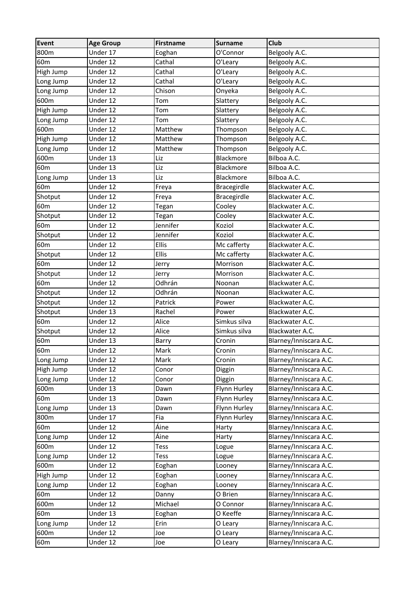| <b>Event</b>    | <b>Age Group</b> | Firstname    | <b>Surname</b> | <b>Club</b>            |
|-----------------|------------------|--------------|----------------|------------------------|
| 800m            | Under 17         | Eoghan       | O'Connor       | Belgooly A.C.          |
| 60 <sub>m</sub> | Under 12         | Cathal       | O'Leary        | Belgooly A.C.          |
| High Jump       | Under 12         | Cathal       | O'Leary        | Belgooly A.C.          |
| Long Jump       | Under 12         | Cathal       | O'Leary        | Belgooly A.C.          |
| Long Jump       | Under 12         | Chison       | Onyeka         | Belgooly A.C.          |
| 600m            | Under 12         | Tom          | Slattery       | Belgooly A.C.          |
| High Jump       | Under 12         | Tom          | Slattery       | Belgooly A.C.          |
| Long Jump       | Under 12         | Tom          | Slattery       | Belgooly A.C.          |
| 600m            | Under 12         | Matthew      | Thompson       | Belgooly A.C.          |
| High Jump       | Under 12         | Matthew      | Thompson       | Belgooly A.C.          |
| Long Jump       | Under 12         | Matthew      | Thompson       | Belgooly A.C.          |
| 600m            | Under 13         | Liz          | Blackmore      | Bilboa A.C.            |
| 60 <sub>m</sub> | Under 13         | Liz          | Blackmore      | Bilboa A.C.            |
| Long Jump       | Under 13         | Liz          | Blackmore      | Bilboa A.C.            |
| 60 <sub>m</sub> | Under 12         | Freya        | Bracegirdle    | Blackwater A.C.        |
| Shotput         | Under 12         | Freya        | Bracegirdle    | Blackwater A.C.        |
| 60 <sub>m</sub> | Under 12         | Tegan        | Cooley         | Blackwater A.C.        |
| Shotput         | Under 12         | Tegan        | Cooley         | Blackwater A.C.        |
| 60 <sub>m</sub> | Under 12         | Jennifer     | Koziol         | Blackwater A.C.        |
| Shotput         | Under 12         | Jennifer     | Koziol         | Blackwater A.C.        |
| 60 <sub>m</sub> | Under 12         | Ellis        | Mc cafferty    | Blackwater A.C.        |
| Shotput         | Under 12         | <b>Ellis</b> | Mc cafferty    | Blackwater A.C.        |
| 60 <sub>m</sub> | Under 12         | Jerry        | Morrison       | Blackwater A.C.        |
| Shotput         | Under 12         | Jerry        | Morrison       | Blackwater A.C.        |
| 60 <sub>m</sub> | Under 12         | Odhrán       | Noonan         | Blackwater A.C.        |
| Shotput         | Under 12         | Odhrán       | Noonan         | Blackwater A.C.        |
| Shotput         | Under 12         | Patrick      | Power          | Blackwater A.C.        |
| Shotput         | Under 13         | Rachel       | Power          | Blackwater A.C.        |
| 60 <sub>m</sub> | Under 12         | Alice        | Simkus silva   | Blackwater A.C.        |
| Shotput         | Under 12         | Alice        | Simkus silva   | Blackwater A.C.        |
| 60 <sub>m</sub> | Under 13         | Barry        | Cronin         | Blarney/Inniscara A.C. |
| 60 <sub>m</sub> | Under 12         | Mark         | Cronin         | Blarney/Inniscara A.C. |
| Long Jump       | Under 12         | Mark         | Cronin         | Blarney/Inniscara A.C. |
| High Jump       | Under 12         | Conor        | Diggin         | Blarney/Inniscara A.C. |
| Long Jump       | Under 12         | Conor        | Diggin         | Blarney/Inniscara A.C. |
| 600m            | Under 13         | Dawn         | Flynn Hurley   | Blarney/Inniscara A.C. |
| 60 <sub>m</sub> | Under 13         | Dawn         | Flynn Hurley   | Blarney/Inniscara A.C. |
| Long Jump       | Under 13         | Dawn         | Flynn Hurley   | Blarney/Inniscara A.C. |
| 800m            | Under 17         | Fia          | Flynn Hurley   | Blarney/Inniscara A.C. |
| 60 <sub>m</sub> | Under 12         | Áine         | Harty          | Blarney/Inniscara A.C. |
| Long Jump       | Under 12         | Áine         | Harty          | Blarney/Inniscara A.C. |
| 600m            | Under 12         | Tess         | Logue          | Blarney/Inniscara A.C. |
| Long Jump       | Under 12         | Tess         | Logue          | Blarney/Inniscara A.C. |
| 600m            | Under 12         | Eoghan       | Looney         | Blarney/Inniscara A.C. |
| High Jump       | Under 12         | Eoghan       | Looney         | Blarney/Inniscara A.C. |
| Long Jump       | Under 12         | Eoghan       | Looney         | Blarney/Inniscara A.C. |
| 60 <sub>m</sub> | Under 12         | Danny        | O Brien        | Blarney/Inniscara A.C. |
| 600m            | Under 12         | Michael      | O Connor       | Blarney/Inniscara A.C. |
| 60 <sub>m</sub> | Under 13         | Eoghan       | O Keeffe       | Blarney/Inniscara A.C. |
| Long Jump       | Under 12         | Erin         | O Leary        | Blarney/Inniscara A.C. |
| 600m            | Under 12         | Joe          | O Leary        | Blarney/Inniscara A.C. |
| 60 <sub>m</sub> | Under 12         | Joe          | O Leary        | Blarney/Inniscara A.C. |
|                 |                  |              |                |                        |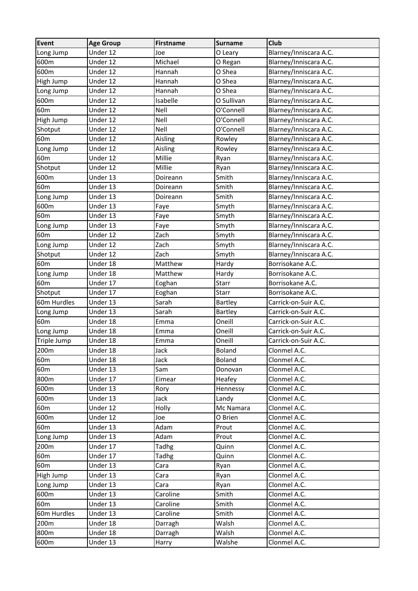| <b>Event</b>    | <b>Age Group</b> | <b>Firstname</b> | <b>Surname</b> | <b>Club</b>            |
|-----------------|------------------|------------------|----------------|------------------------|
| Long Jump       | Under 12         | Joe              | O Leary        | Blarney/Inniscara A.C. |
| 600m            | Under 12         | Michael          | O Regan        | Blarney/Inniscara A.C. |
| 600m            | Under 12         | Hannah           | O Shea         | Blarney/Inniscara A.C. |
| High Jump       | Under 12         | Hannah           | O Shea         | Blarney/Inniscara A.C. |
| Long Jump       | Under 12         | Hannah           | O Shea         | Blarney/Inniscara A.C. |
| 600m            | Under 12         | Isabelle         | O Sullivan     | Blarney/Inniscara A.C. |
| 60 <sub>m</sub> | Under 12         | Nell             | O'Connell      | Blarney/Inniscara A.C. |
| High Jump       | Under 12         | Nell             | O'Connell      | Blarney/Inniscara A.C. |
| Shotput         | Under 12         | Nell             | O'Connell      | Blarney/Inniscara A.C. |
| 60 <sub>m</sub> | Under 12         | Aisling          | Rowley         | Blarney/Inniscara A.C. |
| Long Jump       | Under 12         | Aisling          | Rowley         | Blarney/Inniscara A.C. |
| 60 <sub>m</sub> | Under 12         | Millie           | Ryan           | Blarney/Inniscara A.C. |
| Shotput         | Under 12         | Millie           | Ryan           | Blarney/Inniscara A.C. |
| 600m            | Under 13         | Doireann         | Smith          | Blarney/Inniscara A.C. |
| 60 <sub>m</sub> | Under 13         | Doireann         | Smith          | Blarney/Inniscara A.C. |
| Long Jump       | Under 13         | Doireann         | Smith          | Blarney/Inniscara A.C. |
| 600m            | Under 13         | Faye             | Smyth          | Blarney/Inniscara A.C. |
| 60 <sub>m</sub> | Under 13         | Faye             | Smyth          | Blarney/Inniscara A.C. |
| Long Jump       | Under 13         | Faye             | Smyth          | Blarney/Inniscara A.C. |
| 60 <sub>m</sub> | Under 12         | Zach             | Smyth          | Blarney/Inniscara A.C. |
| Long Jump       | Under 12         | Zach             | Smyth          | Blarney/Inniscara A.C. |
| Shotput         | Under 12         | Zach             | Smyth          | Blarney/Inniscara A.C. |
| 60 <sub>m</sub> | Under 18         | Matthew          | Hardy          | Borrisokane A.C.       |
| Long Jump       | Under 18         | Matthew          | Hardy          | Borrisokane A.C.       |
| 60 <sub>m</sub> | Under 17         | Eoghan           | <b>Starr</b>   | Borrisokane A.C.       |
| Shotput         | Under 17         | Eoghan           | Starr          | Borrisokane A.C.       |
| 60m Hurdles     | Under 13         | Sarah            | Bartley        | Carrick-on-Suir A.C.   |
| Long Jump       | Under 13         | Sarah            | <b>Bartley</b> | Carrick-on-Suir A.C.   |
| 60 <sub>m</sub> | Under 18         | Emma             | Oneill         | Carrick-on-Suir A.C.   |
| Long Jump       | Under 18         | Emma             | Oneill         | Carrick-on-Suir A.C.   |
| Triple Jump     | Under 18         | Emma             | Oneill         | Carrick-on-Suir A.C.   |
| 200m            | Under 18         | Jack             | <b>Boland</b>  | Clonmel A.C.           |
| 60 <sub>m</sub> | Under 18         | Jack             | Boland         | Clonmel A.C.           |
| 60m             | Under 13         | Sam              | Donovan        | Clonmel A.C.           |
| 800m            | Under 17         | Eimear           | Heafey         | Clonmel A.C.           |
| 600m            | Under 13         | Rory             | Hennessy       | Clonmel A.C.           |
| 600m            | Under 13         | Jack             | Landy          | Clonmel A.C.           |
| 60m             | Under 12         | Holly            | Mc Namara      | Clonmel A.C.           |
| 600m            | Under 12         | Joe              | O Brien        | Clonmel A.C.           |
| 60 <sub>m</sub> | Under 13         | Adam             | Prout          | Clonmel A.C.           |
| Long Jump       | Under 13         | Adam             | Prout          | Clonmel A.C.           |
| 200m            | Under 17         | Tadhg            | Quinn          | Clonmel A.C.           |
| 60 <sub>m</sub> | Under 17         | <b>Tadhg</b>     | Quinn          | Clonmel A.C.           |
| 60 <sub>m</sub> | Under 13         | Cara             | Ryan           | Clonmel A.C.           |
| High Jump       | Under 13         | Cara             | Ryan           | Clonmel A.C.           |
| Long Jump       | Under 13         | Cara             | Ryan           | Clonmel A.C.           |
| 600m            | Under 13         | Caroline         | Smith          | Clonmel A.C.           |
| 60 <sub>m</sub> | Under 13         | Caroline         | Smith          | Clonmel A.C.           |
| 60m Hurdles     | Under 13         | Caroline         | Smith          | Clonmel A.C.           |
| 200m            | Under 18         | Darragh          | Walsh          | Clonmel A.C.           |
| 800m            | Under 18         | Darragh          | Walsh          | Clonmel A.C.           |
| 600m            | Under 13         | Harry            | Walshe         | Clonmel A.C.           |
|                 |                  |                  |                |                        |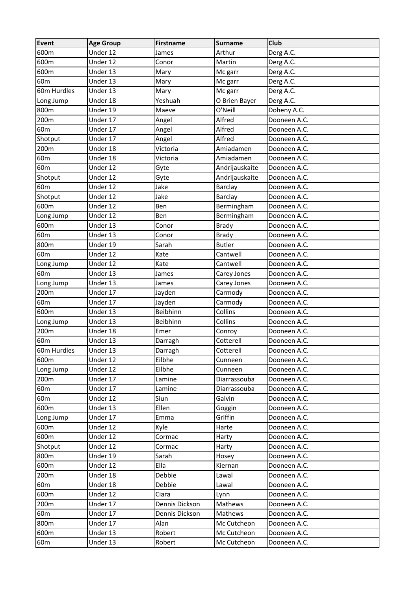| Event           | <b>Age Group</b> | <b>Firstname</b> | <b>Surname</b> | Club         |
|-----------------|------------------|------------------|----------------|--------------|
| 600m            | Under 12         | James            | Arthur         | Derg A.C.    |
| 600m            | Under 12         | Conor            | Martin         | Derg A.C.    |
| 600m            | Under 13         | Mary             | Mc garr        | Derg A.C.    |
| 60 <sub>m</sub> | Under 13         | Mary             | Mc garr        | Derg A.C.    |
| 60m Hurdles     | Under 13         | Mary             | Mc garr        | Derg A.C.    |
| Long Jump       | Under 18         | Yeshuah          | O Brien Bayer  | Derg A.C.    |
| 800m            | Under 19         | Maeve            | O'Neill        | Doheny A.C.  |
| 200m            | Under 17         | Angel            | Alfred         | Dooneen A.C. |
| 60 <sub>m</sub> | Under 17         | Angel            | Alfred         | Dooneen A.C. |
| Shotput         | Under 17         | Angel            | Alfred         | Dooneen A.C. |
| 200m            | Under 18         | Victoria         | Amiadamen      | Dooneen A.C. |
| 60 <sub>m</sub> | Under 18         | Victoria         | Amiadamen      | Dooneen A.C. |
| 60 <sub>m</sub> | Under 12         | Gyte             | Andrijauskaite | Dooneen A.C. |
| Shotput         | Under 12         | Gyte             | Andrijauskaite | Dooneen A.C. |
| 60 <sub>m</sub> | Under 12         | Jake             | Barclay        | Dooneen A.C. |
| Shotput         | Under 12         | Jake             | <b>Barclay</b> | Dooneen A.C. |
| 600m            | Under 12         | Ben              | Bermingham     | Dooneen A.C. |
| Long Jump       | Under 12         | Ben              | Bermingham     | Dooneen A.C. |
| 600m            | Under 13         | Conor            | <b>Brady</b>   | Dooneen A.C. |
| 60 <sub>m</sub> | Under 13         | Conor            | <b>Brady</b>   | Dooneen A.C. |
| 800m            | Under 19         | Sarah            | <b>Butler</b>  | Dooneen A.C. |
| 60 <sub>m</sub> | Under 12         | Kate             | Cantwell       | Dooneen A.C. |
| Long Jump       | Under 12         | Kate             | Cantwell       | Dooneen A.C. |
| 60 <sub>m</sub> | Under 13         | James            | Carey Jones    | Dooneen A.C. |
| Long Jump       | Under 13         | James            | Carey Jones    | Dooneen A.C. |
| 200m            | Under 17         | Jayden           | Carmody        | Dooneen A.C. |
| 60 <sub>m</sub> | Under 17         | Jayden           | Carmody        | Dooneen A.C. |
| 600m            | Under 13         | Beibhinn         | Collins        | Dooneen A.C. |
| Long Jump       | Under 13         | Beibhinn         | Collins        | Dooneen A.C. |
| 200m            | Under 18         | Emer             | Conroy         | Dooneen A.C. |
| 60 <sub>m</sub> | Under 13         | Darragh          | Cotterell      | Dooneen A.C. |
| 60m Hurdles     | Under 13         | Darragh          | Cotterell      | Dooneen A.C. |
| 600m            | Under 12         | Eilbhe           | Cunneen        | Dooneen A.C. |
| Long Jump       | Under 12         | Eilbhe           | Cunneen        | Dooneen A.C. |
| 200m            | Under 17         | Lamine           | Diarrassouba   | Dooneen A.C. |
| 60 <sub>m</sub> | Under 17         | Lamine           | Diarrassouba   | Dooneen A.C. |
| 60 <sub>m</sub> | Under 12         | Siun             | Galvin         | Dooneen A.C. |
| 600m            | Under 13         | Ellen            | Goggin         | Dooneen A.C. |
| Long Jump       | Under 17         | Emma             | Griffin        | Dooneen A.C. |
| 600m            | Under 12         | Kyle             | Harte          | Dooneen A.C. |
| 600m            | Under 12         | Cormac           | Harty          | Dooneen A.C. |
| Shotput         | Under 12         | Cormac           | Harty          | Dooneen A.C. |
| 800m            | Under 19         | Sarah            | Hosey          | Dooneen A.C. |
| 600m            | Under 12         | Ella             | Kiernan        | Dooneen A.C. |
| 200m            | Under 18         | Debbie           | Lawal          | Dooneen A.C. |
| 60 <sub>m</sub> | Under 18         | Debbie           | Lawal          | Dooneen A.C. |
| 600m            | Under 12         | Ciara            | Lynn           | Dooneen A.C. |
| 200m            | Under 17         | Dennis Dickson   | Mathews        | Dooneen A.C. |
| 60 <sub>m</sub> | Under 17         | Dennis Dickson   | Mathews        | Dooneen A.C. |
| 800m            | Under 17         | Alan             | Mc Cutcheon    | Dooneen A.C. |
| 600m            | Under 13         | Robert           | Mc Cutcheon    | Dooneen A.C. |
| 60 <sub>m</sub> | Under 13         | Robert           | Mc Cutcheon    | Dooneen A.C. |
|                 |                  |                  |                |              |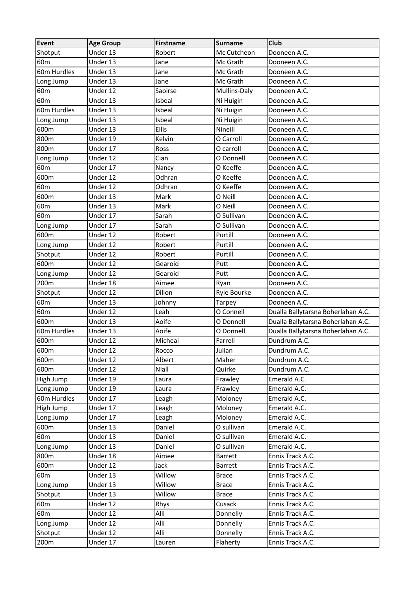| Shotput<br>Under 13<br>Robert<br>Mc Cutcheon<br>Dooneen A.C.<br>60 <sub>m</sub><br>Under 13<br>Mc Grath<br>Jane<br>Dooneen A.C.<br>60m Hurdles<br>Under 13<br>Jane<br>Mc Grath<br>Dooneen A.C.<br>Under 13<br>Jane<br>Mc Grath<br>Long Jump<br>Dooneen A.C.<br>60 <sub>m</sub><br>Under 12<br>Saoirse<br>Mullins-Daly<br>Dooneen A.C.<br>60 <sub>m</sub><br>Under 13<br>Isbeal<br>Ni Huigin<br>Dooneen A.C.<br>60m Hurdles<br>Under 13<br>Isbeal<br>Dooneen A.C.<br>Ni Huigin<br>Under 13<br>Isbeal<br>Ni Huigin<br>Dooneen A.C.<br>Long Jump<br>600m<br>Eilis<br>Nineill<br>Under 13<br>Dooneen A.C.<br>800m<br>Under 19<br>Kelvin<br>O Carroll<br>Dooneen A.C.<br>800m<br>Under 17<br>Ross<br>O carroll<br>Dooneen A.C.<br>Under 12<br>Cian<br>O Donnell<br>Dooneen A.C.<br>Long Jump<br>60 <sub>m</sub><br>Under 17<br>O Keeffe<br>Dooneen A.C.<br>Nancy<br>600m<br>O Keeffe<br>Under 12<br>Odhran<br>Dooneen A.C.<br>60 <sub>m</sub><br>Under 12<br>Odhran<br>O Keeffe<br>Dooneen A.C.<br>600m<br>Under 13<br>O Neill<br>Mark<br>Dooneen A.C.<br>Mark<br>60 <sub>m</sub><br>Under 13<br>O Neill<br>Dooneen A.C.<br>60 <sub>m</sub><br>Under 17<br>Sarah<br>O Sullivan<br>Dooneen A.C.<br>Under 17<br>Sarah<br>O Sullivan<br>Dooneen A.C.<br>Long Jump<br>Under 12<br>Purtill<br>600m<br>Robert<br>Dooneen A.C.<br>Under 12<br>Robert<br>Purtill<br>Dooneen A.C.<br>Long Jump<br>Under 12<br>Purtill<br>Shotput<br>Robert<br>Dooneen A.C.<br>600m<br>Under 12<br>Gearoid<br>Putt<br>Dooneen A.C.<br>Under 12<br>Gearoid<br>Putt<br>Dooneen A.C.<br>Long Jump<br>200m<br>Under 18<br>Aimee<br>Dooneen A.C.<br>Ryan<br>Under 12<br>Dillon<br>Ryle Bourke<br>Shotput<br>Dooneen A.C.<br>60 <sub>m</sub><br>Under 13<br>Johnny<br><b>Tarpey</b><br>Dooneen A.C.<br>O Connell<br>60 <sub>m</sub><br>Under 12<br>Dualla Ballytarsna Boherlahan A.C.<br>Leah<br>Aoife<br>600m<br>Under 13<br>O Donnell<br>Dualla Ballytarsna Boherlahan A.C.<br>Under 13<br>Aoife<br>Dualla Ballytarsna Boherlahan A.C.<br>60m Hurdles<br>O Donnell<br>600m<br>Dundrum A.C.<br>Under 12<br>Micheal<br>Farrell<br>Under 12<br>Rocco<br>Julian<br>Dundrum A.C.<br>Under 12<br>Albert<br>Dundrum A.C.<br>600m<br>Maher<br>600m<br>Under 12<br>Niall<br>Quirke<br>Dundrum A.C.<br>Under 19<br>High Jump<br>Frawley<br>Emerald A.C.<br>Laura<br>Under 19<br>Frawley<br>Emerald A.C.<br>Long Jump<br>Laura<br>60m Hurdles<br>Under 17<br>Moloney<br>Emerald A.C.<br>Leagh<br>High Jump<br>Under 17<br>Leagh<br>Moloney<br>Emerald A.C.<br>Under 17<br>Moloney<br>Emerald A.C.<br>Long Jump<br>Leagh<br>600m<br>Under 13<br>Daniel<br>O sullivan<br>Emerald A.C.<br>60m<br>Under 13<br>Daniel<br>O sullivan<br>Emerald A.C.<br>Under 13<br>Daniel<br>O sullivan<br>Emerald A.C.<br>Long Jump<br>800m<br>Under 18<br>Aimee<br><b>Barrett</b><br>Ennis Track A.C.<br>600m<br>Under 12<br>Jack<br><b>Barrett</b><br>Ennis Track A.C.<br>60 <sub>m</sub><br>Willow<br>Under 13<br>Ennis Track A.C.<br><b>Brace</b><br>Willow<br>Under 13<br>Ennis Track A.C.<br>Long Jump<br><b>Brace</b><br>Under 13<br>Willow<br>Shotput<br>Ennis Track A.C.<br><b>Brace</b><br>60 <sub>m</sub><br>Under 12<br>Cusack<br>Ennis Track A.C.<br>Rhys<br>Alli<br>Under 12<br>60 <sub>m</sub><br>Donnelly<br>Ennis Track A.C.<br>Alli<br>Under 12<br>Donnelly<br>Ennis Track A.C.<br>Long Jump<br>Alli<br>Under 12<br>Donnelly<br>Shotput<br>Ennis Track A.C. | Event | <b>Age Group</b> | Firstname | <b>Surname</b> | Club             |
|-------------------------------------------------------------------------------------------------------------------------------------------------------------------------------------------------------------------------------------------------------------------------------------------------------------------------------------------------------------------------------------------------------------------------------------------------------------------------------------------------------------------------------------------------------------------------------------------------------------------------------------------------------------------------------------------------------------------------------------------------------------------------------------------------------------------------------------------------------------------------------------------------------------------------------------------------------------------------------------------------------------------------------------------------------------------------------------------------------------------------------------------------------------------------------------------------------------------------------------------------------------------------------------------------------------------------------------------------------------------------------------------------------------------------------------------------------------------------------------------------------------------------------------------------------------------------------------------------------------------------------------------------------------------------------------------------------------------------------------------------------------------------------------------------------------------------------------------------------------------------------------------------------------------------------------------------------------------------------------------------------------------------------------------------------------------------------------------------------------------------------------------------------------------------------------------------------------------------------------------------------------------------------------------------------------------------------------------------------------------------------------------------------------------------------------------------------------------------------------------------------------------------------------------------------------------------------------------------------------------------------------------------------------------------------------------------------------------------------------------------------------------------------------------------------------------------------------------------------------------------------------------------------------------------------------------------------------------------------------------------------------------------------------------------------------------------------------------------------------------------------------------------------------------------------------------------------------------------------------------------------------------------------------------------------------------------------------------------------------------------------------------------------------|-------|------------------|-----------|----------------|------------------|
|                                                                                                                                                                                                                                                                                                                                                                                                                                                                                                                                                                                                                                                                                                                                                                                                                                                                                                                                                                                                                                                                                                                                                                                                                                                                                                                                                                                                                                                                                                                                                                                                                                                                                                                                                                                                                                                                                                                                                                                                                                                                                                                                                                                                                                                                                                                                                                                                                                                                                                                                                                                                                                                                                                                                                                                                                                                                                                                                                                                                                                                                                                                                                                                                                                                                                                                                                                                                             |       |                  |           |                |                  |
|                                                                                                                                                                                                                                                                                                                                                                                                                                                                                                                                                                                                                                                                                                                                                                                                                                                                                                                                                                                                                                                                                                                                                                                                                                                                                                                                                                                                                                                                                                                                                                                                                                                                                                                                                                                                                                                                                                                                                                                                                                                                                                                                                                                                                                                                                                                                                                                                                                                                                                                                                                                                                                                                                                                                                                                                                                                                                                                                                                                                                                                                                                                                                                                                                                                                                                                                                                                                             |       |                  |           |                |                  |
|                                                                                                                                                                                                                                                                                                                                                                                                                                                                                                                                                                                                                                                                                                                                                                                                                                                                                                                                                                                                                                                                                                                                                                                                                                                                                                                                                                                                                                                                                                                                                                                                                                                                                                                                                                                                                                                                                                                                                                                                                                                                                                                                                                                                                                                                                                                                                                                                                                                                                                                                                                                                                                                                                                                                                                                                                                                                                                                                                                                                                                                                                                                                                                                                                                                                                                                                                                                                             |       |                  |           |                |                  |
|                                                                                                                                                                                                                                                                                                                                                                                                                                                                                                                                                                                                                                                                                                                                                                                                                                                                                                                                                                                                                                                                                                                                                                                                                                                                                                                                                                                                                                                                                                                                                                                                                                                                                                                                                                                                                                                                                                                                                                                                                                                                                                                                                                                                                                                                                                                                                                                                                                                                                                                                                                                                                                                                                                                                                                                                                                                                                                                                                                                                                                                                                                                                                                                                                                                                                                                                                                                                             |       |                  |           |                |                  |
|                                                                                                                                                                                                                                                                                                                                                                                                                                                                                                                                                                                                                                                                                                                                                                                                                                                                                                                                                                                                                                                                                                                                                                                                                                                                                                                                                                                                                                                                                                                                                                                                                                                                                                                                                                                                                                                                                                                                                                                                                                                                                                                                                                                                                                                                                                                                                                                                                                                                                                                                                                                                                                                                                                                                                                                                                                                                                                                                                                                                                                                                                                                                                                                                                                                                                                                                                                                                             |       |                  |           |                |                  |
|                                                                                                                                                                                                                                                                                                                                                                                                                                                                                                                                                                                                                                                                                                                                                                                                                                                                                                                                                                                                                                                                                                                                                                                                                                                                                                                                                                                                                                                                                                                                                                                                                                                                                                                                                                                                                                                                                                                                                                                                                                                                                                                                                                                                                                                                                                                                                                                                                                                                                                                                                                                                                                                                                                                                                                                                                                                                                                                                                                                                                                                                                                                                                                                                                                                                                                                                                                                                             |       |                  |           |                |                  |
|                                                                                                                                                                                                                                                                                                                                                                                                                                                                                                                                                                                                                                                                                                                                                                                                                                                                                                                                                                                                                                                                                                                                                                                                                                                                                                                                                                                                                                                                                                                                                                                                                                                                                                                                                                                                                                                                                                                                                                                                                                                                                                                                                                                                                                                                                                                                                                                                                                                                                                                                                                                                                                                                                                                                                                                                                                                                                                                                                                                                                                                                                                                                                                                                                                                                                                                                                                                                             |       |                  |           |                |                  |
|                                                                                                                                                                                                                                                                                                                                                                                                                                                                                                                                                                                                                                                                                                                                                                                                                                                                                                                                                                                                                                                                                                                                                                                                                                                                                                                                                                                                                                                                                                                                                                                                                                                                                                                                                                                                                                                                                                                                                                                                                                                                                                                                                                                                                                                                                                                                                                                                                                                                                                                                                                                                                                                                                                                                                                                                                                                                                                                                                                                                                                                                                                                                                                                                                                                                                                                                                                                                             |       |                  |           |                |                  |
|                                                                                                                                                                                                                                                                                                                                                                                                                                                                                                                                                                                                                                                                                                                                                                                                                                                                                                                                                                                                                                                                                                                                                                                                                                                                                                                                                                                                                                                                                                                                                                                                                                                                                                                                                                                                                                                                                                                                                                                                                                                                                                                                                                                                                                                                                                                                                                                                                                                                                                                                                                                                                                                                                                                                                                                                                                                                                                                                                                                                                                                                                                                                                                                                                                                                                                                                                                                                             |       |                  |           |                |                  |
|                                                                                                                                                                                                                                                                                                                                                                                                                                                                                                                                                                                                                                                                                                                                                                                                                                                                                                                                                                                                                                                                                                                                                                                                                                                                                                                                                                                                                                                                                                                                                                                                                                                                                                                                                                                                                                                                                                                                                                                                                                                                                                                                                                                                                                                                                                                                                                                                                                                                                                                                                                                                                                                                                                                                                                                                                                                                                                                                                                                                                                                                                                                                                                                                                                                                                                                                                                                                             |       |                  |           |                |                  |
|                                                                                                                                                                                                                                                                                                                                                                                                                                                                                                                                                                                                                                                                                                                                                                                                                                                                                                                                                                                                                                                                                                                                                                                                                                                                                                                                                                                                                                                                                                                                                                                                                                                                                                                                                                                                                                                                                                                                                                                                                                                                                                                                                                                                                                                                                                                                                                                                                                                                                                                                                                                                                                                                                                                                                                                                                                                                                                                                                                                                                                                                                                                                                                                                                                                                                                                                                                                                             |       |                  |           |                |                  |
|                                                                                                                                                                                                                                                                                                                                                                                                                                                                                                                                                                                                                                                                                                                                                                                                                                                                                                                                                                                                                                                                                                                                                                                                                                                                                                                                                                                                                                                                                                                                                                                                                                                                                                                                                                                                                                                                                                                                                                                                                                                                                                                                                                                                                                                                                                                                                                                                                                                                                                                                                                                                                                                                                                                                                                                                                                                                                                                                                                                                                                                                                                                                                                                                                                                                                                                                                                                                             |       |                  |           |                |                  |
|                                                                                                                                                                                                                                                                                                                                                                                                                                                                                                                                                                                                                                                                                                                                                                                                                                                                                                                                                                                                                                                                                                                                                                                                                                                                                                                                                                                                                                                                                                                                                                                                                                                                                                                                                                                                                                                                                                                                                                                                                                                                                                                                                                                                                                                                                                                                                                                                                                                                                                                                                                                                                                                                                                                                                                                                                                                                                                                                                                                                                                                                                                                                                                                                                                                                                                                                                                                                             |       |                  |           |                |                  |
|                                                                                                                                                                                                                                                                                                                                                                                                                                                                                                                                                                                                                                                                                                                                                                                                                                                                                                                                                                                                                                                                                                                                                                                                                                                                                                                                                                                                                                                                                                                                                                                                                                                                                                                                                                                                                                                                                                                                                                                                                                                                                                                                                                                                                                                                                                                                                                                                                                                                                                                                                                                                                                                                                                                                                                                                                                                                                                                                                                                                                                                                                                                                                                                                                                                                                                                                                                                                             |       |                  |           |                |                  |
|                                                                                                                                                                                                                                                                                                                                                                                                                                                                                                                                                                                                                                                                                                                                                                                                                                                                                                                                                                                                                                                                                                                                                                                                                                                                                                                                                                                                                                                                                                                                                                                                                                                                                                                                                                                                                                                                                                                                                                                                                                                                                                                                                                                                                                                                                                                                                                                                                                                                                                                                                                                                                                                                                                                                                                                                                                                                                                                                                                                                                                                                                                                                                                                                                                                                                                                                                                                                             |       |                  |           |                |                  |
|                                                                                                                                                                                                                                                                                                                                                                                                                                                                                                                                                                                                                                                                                                                                                                                                                                                                                                                                                                                                                                                                                                                                                                                                                                                                                                                                                                                                                                                                                                                                                                                                                                                                                                                                                                                                                                                                                                                                                                                                                                                                                                                                                                                                                                                                                                                                                                                                                                                                                                                                                                                                                                                                                                                                                                                                                                                                                                                                                                                                                                                                                                                                                                                                                                                                                                                                                                                                             |       |                  |           |                |                  |
|                                                                                                                                                                                                                                                                                                                                                                                                                                                                                                                                                                                                                                                                                                                                                                                                                                                                                                                                                                                                                                                                                                                                                                                                                                                                                                                                                                                                                                                                                                                                                                                                                                                                                                                                                                                                                                                                                                                                                                                                                                                                                                                                                                                                                                                                                                                                                                                                                                                                                                                                                                                                                                                                                                                                                                                                                                                                                                                                                                                                                                                                                                                                                                                                                                                                                                                                                                                                             |       |                  |           |                |                  |
|                                                                                                                                                                                                                                                                                                                                                                                                                                                                                                                                                                                                                                                                                                                                                                                                                                                                                                                                                                                                                                                                                                                                                                                                                                                                                                                                                                                                                                                                                                                                                                                                                                                                                                                                                                                                                                                                                                                                                                                                                                                                                                                                                                                                                                                                                                                                                                                                                                                                                                                                                                                                                                                                                                                                                                                                                                                                                                                                                                                                                                                                                                                                                                                                                                                                                                                                                                                                             |       |                  |           |                |                  |
|                                                                                                                                                                                                                                                                                                                                                                                                                                                                                                                                                                                                                                                                                                                                                                                                                                                                                                                                                                                                                                                                                                                                                                                                                                                                                                                                                                                                                                                                                                                                                                                                                                                                                                                                                                                                                                                                                                                                                                                                                                                                                                                                                                                                                                                                                                                                                                                                                                                                                                                                                                                                                                                                                                                                                                                                                                                                                                                                                                                                                                                                                                                                                                                                                                                                                                                                                                                                             |       |                  |           |                |                  |
|                                                                                                                                                                                                                                                                                                                                                                                                                                                                                                                                                                                                                                                                                                                                                                                                                                                                                                                                                                                                                                                                                                                                                                                                                                                                                                                                                                                                                                                                                                                                                                                                                                                                                                                                                                                                                                                                                                                                                                                                                                                                                                                                                                                                                                                                                                                                                                                                                                                                                                                                                                                                                                                                                                                                                                                                                                                                                                                                                                                                                                                                                                                                                                                                                                                                                                                                                                                                             |       |                  |           |                |                  |
|                                                                                                                                                                                                                                                                                                                                                                                                                                                                                                                                                                                                                                                                                                                                                                                                                                                                                                                                                                                                                                                                                                                                                                                                                                                                                                                                                                                                                                                                                                                                                                                                                                                                                                                                                                                                                                                                                                                                                                                                                                                                                                                                                                                                                                                                                                                                                                                                                                                                                                                                                                                                                                                                                                                                                                                                                                                                                                                                                                                                                                                                                                                                                                                                                                                                                                                                                                                                             |       |                  |           |                |                  |
|                                                                                                                                                                                                                                                                                                                                                                                                                                                                                                                                                                                                                                                                                                                                                                                                                                                                                                                                                                                                                                                                                                                                                                                                                                                                                                                                                                                                                                                                                                                                                                                                                                                                                                                                                                                                                                                                                                                                                                                                                                                                                                                                                                                                                                                                                                                                                                                                                                                                                                                                                                                                                                                                                                                                                                                                                                                                                                                                                                                                                                                                                                                                                                                                                                                                                                                                                                                                             |       |                  |           |                |                  |
|                                                                                                                                                                                                                                                                                                                                                                                                                                                                                                                                                                                                                                                                                                                                                                                                                                                                                                                                                                                                                                                                                                                                                                                                                                                                                                                                                                                                                                                                                                                                                                                                                                                                                                                                                                                                                                                                                                                                                                                                                                                                                                                                                                                                                                                                                                                                                                                                                                                                                                                                                                                                                                                                                                                                                                                                                                                                                                                                                                                                                                                                                                                                                                                                                                                                                                                                                                                                             |       |                  |           |                |                  |
|                                                                                                                                                                                                                                                                                                                                                                                                                                                                                                                                                                                                                                                                                                                                                                                                                                                                                                                                                                                                                                                                                                                                                                                                                                                                                                                                                                                                                                                                                                                                                                                                                                                                                                                                                                                                                                                                                                                                                                                                                                                                                                                                                                                                                                                                                                                                                                                                                                                                                                                                                                                                                                                                                                                                                                                                                                                                                                                                                                                                                                                                                                                                                                                                                                                                                                                                                                                                             |       |                  |           |                |                  |
|                                                                                                                                                                                                                                                                                                                                                                                                                                                                                                                                                                                                                                                                                                                                                                                                                                                                                                                                                                                                                                                                                                                                                                                                                                                                                                                                                                                                                                                                                                                                                                                                                                                                                                                                                                                                                                                                                                                                                                                                                                                                                                                                                                                                                                                                                                                                                                                                                                                                                                                                                                                                                                                                                                                                                                                                                                                                                                                                                                                                                                                                                                                                                                                                                                                                                                                                                                                                             |       |                  |           |                |                  |
|                                                                                                                                                                                                                                                                                                                                                                                                                                                                                                                                                                                                                                                                                                                                                                                                                                                                                                                                                                                                                                                                                                                                                                                                                                                                                                                                                                                                                                                                                                                                                                                                                                                                                                                                                                                                                                                                                                                                                                                                                                                                                                                                                                                                                                                                                                                                                                                                                                                                                                                                                                                                                                                                                                                                                                                                                                                                                                                                                                                                                                                                                                                                                                                                                                                                                                                                                                                                             |       |                  |           |                |                  |
|                                                                                                                                                                                                                                                                                                                                                                                                                                                                                                                                                                                                                                                                                                                                                                                                                                                                                                                                                                                                                                                                                                                                                                                                                                                                                                                                                                                                                                                                                                                                                                                                                                                                                                                                                                                                                                                                                                                                                                                                                                                                                                                                                                                                                                                                                                                                                                                                                                                                                                                                                                                                                                                                                                                                                                                                                                                                                                                                                                                                                                                                                                                                                                                                                                                                                                                                                                                                             |       |                  |           |                |                  |
|                                                                                                                                                                                                                                                                                                                                                                                                                                                                                                                                                                                                                                                                                                                                                                                                                                                                                                                                                                                                                                                                                                                                                                                                                                                                                                                                                                                                                                                                                                                                                                                                                                                                                                                                                                                                                                                                                                                                                                                                                                                                                                                                                                                                                                                                                                                                                                                                                                                                                                                                                                                                                                                                                                                                                                                                                                                                                                                                                                                                                                                                                                                                                                                                                                                                                                                                                                                                             |       |                  |           |                |                  |
|                                                                                                                                                                                                                                                                                                                                                                                                                                                                                                                                                                                                                                                                                                                                                                                                                                                                                                                                                                                                                                                                                                                                                                                                                                                                                                                                                                                                                                                                                                                                                                                                                                                                                                                                                                                                                                                                                                                                                                                                                                                                                                                                                                                                                                                                                                                                                                                                                                                                                                                                                                                                                                                                                                                                                                                                                                                                                                                                                                                                                                                                                                                                                                                                                                                                                                                                                                                                             |       |                  |           |                |                  |
|                                                                                                                                                                                                                                                                                                                                                                                                                                                                                                                                                                                                                                                                                                                                                                                                                                                                                                                                                                                                                                                                                                                                                                                                                                                                                                                                                                                                                                                                                                                                                                                                                                                                                                                                                                                                                                                                                                                                                                                                                                                                                                                                                                                                                                                                                                                                                                                                                                                                                                                                                                                                                                                                                                                                                                                                                                                                                                                                                                                                                                                                                                                                                                                                                                                                                                                                                                                                             |       |                  |           |                |                  |
|                                                                                                                                                                                                                                                                                                                                                                                                                                                                                                                                                                                                                                                                                                                                                                                                                                                                                                                                                                                                                                                                                                                                                                                                                                                                                                                                                                                                                                                                                                                                                                                                                                                                                                                                                                                                                                                                                                                                                                                                                                                                                                                                                                                                                                                                                                                                                                                                                                                                                                                                                                                                                                                                                                                                                                                                                                                                                                                                                                                                                                                                                                                                                                                                                                                                                                                                                                                                             |       |                  |           |                |                  |
|                                                                                                                                                                                                                                                                                                                                                                                                                                                                                                                                                                                                                                                                                                                                                                                                                                                                                                                                                                                                                                                                                                                                                                                                                                                                                                                                                                                                                                                                                                                                                                                                                                                                                                                                                                                                                                                                                                                                                                                                                                                                                                                                                                                                                                                                                                                                                                                                                                                                                                                                                                                                                                                                                                                                                                                                                                                                                                                                                                                                                                                                                                                                                                                                                                                                                                                                                                                                             | 600m  |                  |           |                |                  |
|                                                                                                                                                                                                                                                                                                                                                                                                                                                                                                                                                                                                                                                                                                                                                                                                                                                                                                                                                                                                                                                                                                                                                                                                                                                                                                                                                                                                                                                                                                                                                                                                                                                                                                                                                                                                                                                                                                                                                                                                                                                                                                                                                                                                                                                                                                                                                                                                                                                                                                                                                                                                                                                                                                                                                                                                                                                                                                                                                                                                                                                                                                                                                                                                                                                                                                                                                                                                             |       |                  |           |                |                  |
|                                                                                                                                                                                                                                                                                                                                                                                                                                                                                                                                                                                                                                                                                                                                                                                                                                                                                                                                                                                                                                                                                                                                                                                                                                                                                                                                                                                                                                                                                                                                                                                                                                                                                                                                                                                                                                                                                                                                                                                                                                                                                                                                                                                                                                                                                                                                                                                                                                                                                                                                                                                                                                                                                                                                                                                                                                                                                                                                                                                                                                                                                                                                                                                                                                                                                                                                                                                                             |       |                  |           |                |                  |
|                                                                                                                                                                                                                                                                                                                                                                                                                                                                                                                                                                                                                                                                                                                                                                                                                                                                                                                                                                                                                                                                                                                                                                                                                                                                                                                                                                                                                                                                                                                                                                                                                                                                                                                                                                                                                                                                                                                                                                                                                                                                                                                                                                                                                                                                                                                                                                                                                                                                                                                                                                                                                                                                                                                                                                                                                                                                                                                                                                                                                                                                                                                                                                                                                                                                                                                                                                                                             |       |                  |           |                |                  |
|                                                                                                                                                                                                                                                                                                                                                                                                                                                                                                                                                                                                                                                                                                                                                                                                                                                                                                                                                                                                                                                                                                                                                                                                                                                                                                                                                                                                                                                                                                                                                                                                                                                                                                                                                                                                                                                                                                                                                                                                                                                                                                                                                                                                                                                                                                                                                                                                                                                                                                                                                                                                                                                                                                                                                                                                                                                                                                                                                                                                                                                                                                                                                                                                                                                                                                                                                                                                             |       |                  |           |                |                  |
|                                                                                                                                                                                                                                                                                                                                                                                                                                                                                                                                                                                                                                                                                                                                                                                                                                                                                                                                                                                                                                                                                                                                                                                                                                                                                                                                                                                                                                                                                                                                                                                                                                                                                                                                                                                                                                                                                                                                                                                                                                                                                                                                                                                                                                                                                                                                                                                                                                                                                                                                                                                                                                                                                                                                                                                                                                                                                                                                                                                                                                                                                                                                                                                                                                                                                                                                                                                                             |       |                  |           |                |                  |
|                                                                                                                                                                                                                                                                                                                                                                                                                                                                                                                                                                                                                                                                                                                                                                                                                                                                                                                                                                                                                                                                                                                                                                                                                                                                                                                                                                                                                                                                                                                                                                                                                                                                                                                                                                                                                                                                                                                                                                                                                                                                                                                                                                                                                                                                                                                                                                                                                                                                                                                                                                                                                                                                                                                                                                                                                                                                                                                                                                                                                                                                                                                                                                                                                                                                                                                                                                                                             |       |                  |           |                |                  |
|                                                                                                                                                                                                                                                                                                                                                                                                                                                                                                                                                                                                                                                                                                                                                                                                                                                                                                                                                                                                                                                                                                                                                                                                                                                                                                                                                                                                                                                                                                                                                                                                                                                                                                                                                                                                                                                                                                                                                                                                                                                                                                                                                                                                                                                                                                                                                                                                                                                                                                                                                                                                                                                                                                                                                                                                                                                                                                                                                                                                                                                                                                                                                                                                                                                                                                                                                                                                             |       |                  |           |                |                  |
|                                                                                                                                                                                                                                                                                                                                                                                                                                                                                                                                                                                                                                                                                                                                                                                                                                                                                                                                                                                                                                                                                                                                                                                                                                                                                                                                                                                                                                                                                                                                                                                                                                                                                                                                                                                                                                                                                                                                                                                                                                                                                                                                                                                                                                                                                                                                                                                                                                                                                                                                                                                                                                                                                                                                                                                                                                                                                                                                                                                                                                                                                                                                                                                                                                                                                                                                                                                                             |       |                  |           |                |                  |
|                                                                                                                                                                                                                                                                                                                                                                                                                                                                                                                                                                                                                                                                                                                                                                                                                                                                                                                                                                                                                                                                                                                                                                                                                                                                                                                                                                                                                                                                                                                                                                                                                                                                                                                                                                                                                                                                                                                                                                                                                                                                                                                                                                                                                                                                                                                                                                                                                                                                                                                                                                                                                                                                                                                                                                                                                                                                                                                                                                                                                                                                                                                                                                                                                                                                                                                                                                                                             |       |                  |           |                |                  |
|                                                                                                                                                                                                                                                                                                                                                                                                                                                                                                                                                                                                                                                                                                                                                                                                                                                                                                                                                                                                                                                                                                                                                                                                                                                                                                                                                                                                                                                                                                                                                                                                                                                                                                                                                                                                                                                                                                                                                                                                                                                                                                                                                                                                                                                                                                                                                                                                                                                                                                                                                                                                                                                                                                                                                                                                                                                                                                                                                                                                                                                                                                                                                                                                                                                                                                                                                                                                             |       |                  |           |                |                  |
|                                                                                                                                                                                                                                                                                                                                                                                                                                                                                                                                                                                                                                                                                                                                                                                                                                                                                                                                                                                                                                                                                                                                                                                                                                                                                                                                                                                                                                                                                                                                                                                                                                                                                                                                                                                                                                                                                                                                                                                                                                                                                                                                                                                                                                                                                                                                                                                                                                                                                                                                                                                                                                                                                                                                                                                                                                                                                                                                                                                                                                                                                                                                                                                                                                                                                                                                                                                                             |       |                  |           |                |                  |
|                                                                                                                                                                                                                                                                                                                                                                                                                                                                                                                                                                                                                                                                                                                                                                                                                                                                                                                                                                                                                                                                                                                                                                                                                                                                                                                                                                                                                                                                                                                                                                                                                                                                                                                                                                                                                                                                                                                                                                                                                                                                                                                                                                                                                                                                                                                                                                                                                                                                                                                                                                                                                                                                                                                                                                                                                                                                                                                                                                                                                                                                                                                                                                                                                                                                                                                                                                                                             |       |                  |           |                |                  |
|                                                                                                                                                                                                                                                                                                                                                                                                                                                                                                                                                                                                                                                                                                                                                                                                                                                                                                                                                                                                                                                                                                                                                                                                                                                                                                                                                                                                                                                                                                                                                                                                                                                                                                                                                                                                                                                                                                                                                                                                                                                                                                                                                                                                                                                                                                                                                                                                                                                                                                                                                                                                                                                                                                                                                                                                                                                                                                                                                                                                                                                                                                                                                                                                                                                                                                                                                                                                             |       |                  |           |                |                  |
|                                                                                                                                                                                                                                                                                                                                                                                                                                                                                                                                                                                                                                                                                                                                                                                                                                                                                                                                                                                                                                                                                                                                                                                                                                                                                                                                                                                                                                                                                                                                                                                                                                                                                                                                                                                                                                                                                                                                                                                                                                                                                                                                                                                                                                                                                                                                                                                                                                                                                                                                                                                                                                                                                                                                                                                                                                                                                                                                                                                                                                                                                                                                                                                                                                                                                                                                                                                                             |       |                  |           |                |                  |
|                                                                                                                                                                                                                                                                                                                                                                                                                                                                                                                                                                                                                                                                                                                                                                                                                                                                                                                                                                                                                                                                                                                                                                                                                                                                                                                                                                                                                                                                                                                                                                                                                                                                                                                                                                                                                                                                                                                                                                                                                                                                                                                                                                                                                                                                                                                                                                                                                                                                                                                                                                                                                                                                                                                                                                                                                                                                                                                                                                                                                                                                                                                                                                                                                                                                                                                                                                                                             |       |                  |           |                |                  |
|                                                                                                                                                                                                                                                                                                                                                                                                                                                                                                                                                                                                                                                                                                                                                                                                                                                                                                                                                                                                                                                                                                                                                                                                                                                                                                                                                                                                                                                                                                                                                                                                                                                                                                                                                                                                                                                                                                                                                                                                                                                                                                                                                                                                                                                                                                                                                                                                                                                                                                                                                                                                                                                                                                                                                                                                                                                                                                                                                                                                                                                                                                                                                                                                                                                                                                                                                                                                             |       |                  |           |                |                  |
|                                                                                                                                                                                                                                                                                                                                                                                                                                                                                                                                                                                                                                                                                                                                                                                                                                                                                                                                                                                                                                                                                                                                                                                                                                                                                                                                                                                                                                                                                                                                                                                                                                                                                                                                                                                                                                                                                                                                                                                                                                                                                                                                                                                                                                                                                                                                                                                                                                                                                                                                                                                                                                                                                                                                                                                                                                                                                                                                                                                                                                                                                                                                                                                                                                                                                                                                                                                                             |       |                  |           |                |                  |
|                                                                                                                                                                                                                                                                                                                                                                                                                                                                                                                                                                                                                                                                                                                                                                                                                                                                                                                                                                                                                                                                                                                                                                                                                                                                                                                                                                                                                                                                                                                                                                                                                                                                                                                                                                                                                                                                                                                                                                                                                                                                                                                                                                                                                                                                                                                                                                                                                                                                                                                                                                                                                                                                                                                                                                                                                                                                                                                                                                                                                                                                                                                                                                                                                                                                                                                                                                                                             |       |                  |           |                |                  |
|                                                                                                                                                                                                                                                                                                                                                                                                                                                                                                                                                                                                                                                                                                                                                                                                                                                                                                                                                                                                                                                                                                                                                                                                                                                                                                                                                                                                                                                                                                                                                                                                                                                                                                                                                                                                                                                                                                                                                                                                                                                                                                                                                                                                                                                                                                                                                                                                                                                                                                                                                                                                                                                                                                                                                                                                                                                                                                                                                                                                                                                                                                                                                                                                                                                                                                                                                                                                             |       |                  |           |                |                  |
|                                                                                                                                                                                                                                                                                                                                                                                                                                                                                                                                                                                                                                                                                                                                                                                                                                                                                                                                                                                                                                                                                                                                                                                                                                                                                                                                                                                                                                                                                                                                                                                                                                                                                                                                                                                                                                                                                                                                                                                                                                                                                                                                                                                                                                                                                                                                                                                                                                                                                                                                                                                                                                                                                                                                                                                                                                                                                                                                                                                                                                                                                                                                                                                                                                                                                                                                                                                                             | 200m  | Under 17         | Lauren    | Flaherty       | Ennis Track A.C. |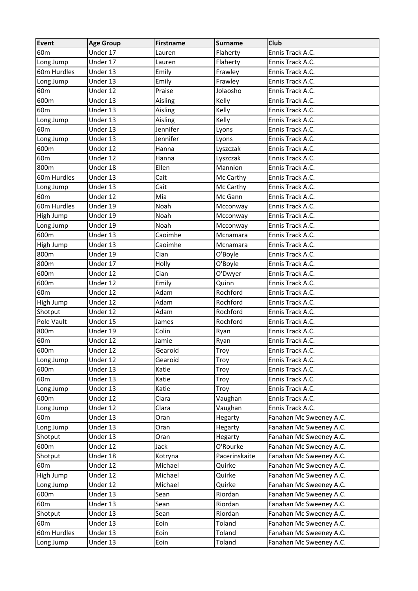| <b>Event</b>    | <b>Age Group</b> | <b>Firstname</b> | <b>Surname</b> | <b>Club</b>             |
|-----------------|------------------|------------------|----------------|-------------------------|
| 60 <sub>m</sub> | Under 17         | Lauren           | Flaherty       | Ennis Track A.C.        |
| Long Jump       | Under 17         | Lauren           | Flaherty       | Ennis Track A.C.        |
| 60m Hurdles     | Under 13         | Emily            | Frawley        | Ennis Track A.C.        |
| Long Jump       | Under 13         | Emily            | Frawley        | Ennis Track A.C.        |
| 60 <sub>m</sub> | Under 12         | Praise           | Jolaosho       | Ennis Track A.C.        |
| 600m            | Under 13         | Aisling          | Kelly          | Ennis Track A.C.        |
| 60 <sub>m</sub> | Under 13         | Aisling          | Kelly          | Ennis Track A.C.        |
| Long Jump       | Under 13         | Aisling          | Kelly          | Ennis Track A.C.        |
| 60 <sub>m</sub> | Under 13         | Jennifer         | Lyons          | Ennis Track A.C.        |
| Long Jump       | Under 13         | Jennifer         | Lyons          | Ennis Track A.C.        |
| 600m            | Under 12         | Hanna            | Lyszczak       | Ennis Track A.C.        |
| 60 <sub>m</sub> | Under 12         | Hanna            | Lyszczak       | Ennis Track A.C.        |
| 800m            | Under 18         | Ellen            | Mannion        | Ennis Track A.C.        |
| 60m Hurdles     | Under 13         | Cait             | Mc Carthy      | Ennis Track A.C.        |
| Long Jump       | Under 13         | Cait             | Mc Carthy      | Ennis Track A.C.        |
| 60 <sub>m</sub> | Under 12         | Mia              | Mc Gann        | Ennis Track A.C.        |
| 60m Hurdles     | Under 19         | Noah             | Mcconway       | Ennis Track A.C.        |
| High Jump       | Under 19         | Noah             | Mcconway       | Ennis Track A.C.        |
| Long Jump       | Under 19         | Noah             | Mcconway       | Ennis Track A.C.        |
| 600m            | Under 13         | Caoimhe          | Mcnamara       | Ennis Track A.C.        |
| High Jump       | Under 13         | Caoimhe          | Mcnamara       | Ennis Track A.C.        |
| 800m            | Under 19         | Cian             | O'Boyle        | Ennis Track A.C.        |
| 800m            | Under 17         | Holly            | O'Boyle        | Ennis Track A.C.        |
| 600m            | Under 12         | Cian             | O'Dwyer        | Ennis Track A.C.        |
| 600m            | Under 12         | Emily            | Quinn          | Ennis Track A.C.        |
| 60 <sub>m</sub> | Under 12         | Adam             | Rochford       | Ennis Track A.C.        |
| High Jump       | Under 12         | Adam             | Rochford       | Ennis Track A.C.        |
| Shotput         | Under 12         | Adam             | Rochford       | Ennis Track A.C.        |
| Pole Vault      | Under 15         | James            | Rochford       | Ennis Track A.C.        |
| 800m            | Under 19         | Colin            | Ryan           | Ennis Track A.C.        |
| 60 <sub>m</sub> | Under 12         | Jamie            | Ryan           | Ennis Track A.C.        |
| 600m            | Under 12         | Gearoid          | Troy           | Ennis Track A.C.        |
| Long Jump       | Under 12         | Gearoid          | Troy           | Ennis Track A.C.        |
| 600m            | Under 13         | Katie            | Troy           | Ennis Track A.C.        |
| 60 <sub>m</sub> | Under 13         | Katie            | Troy           | Ennis Track A.C.        |
| Long Jump       | Under 13         | Katie            | Troy           | Ennis Track A.C.        |
| 600m            | Under 12         | Clara            | Vaughan        | Ennis Track A.C.        |
| Long Jump       | Under 12         | Clara            | Vaughan        | Ennis Track A.C.        |
| 60 <sub>m</sub> | Under 13         | Oran             | Hegarty        | Fanahan Mc Sweeney A.C. |
| Long Jump       | Under 13         | Oran             | Hegarty        | Fanahan Mc Sweeney A.C. |
| Shotput         | Under 13         | Oran             | Hegarty        | Fanahan Mc Sweeney A.C. |
| 600m            | Under 12         | Jack             | O'Rourke       | Fanahan Mc Sweeney A.C. |
| Shotput         | Under 18         | Kotryna          | Pacerinskaite  | Fanahan Mc Sweeney A.C. |
| 60 <sub>m</sub> | Under 12         | Michael          | Quirke         | Fanahan Mc Sweeney A.C. |
| High Jump       | Under 12         | Michael          | Quirke         | Fanahan Mc Sweeney A.C. |
| Long Jump       | Under 12         | Michael          | Quirke         | Fanahan Mc Sweeney A.C. |
| 600m            | Under 13         | Sean             | Riordan        | Fanahan Mc Sweeney A.C. |
| 60 <sub>m</sub> | Under 13         | Sean             | Riordan        | Fanahan Mc Sweeney A.C. |
| Shotput         | Under 13         | Sean             | Riordan        | Fanahan Mc Sweeney A.C. |
| 60 <sub>m</sub> | Under 13         | Eoin             | Toland         | Fanahan Mc Sweeney A.C. |
| 60m Hurdles     | Under 13         | Eoin             | Toland         | Fanahan Mc Sweeney A.C. |
| Long Jump       | Under 13         | Eoin             | Toland         | Fanahan Mc Sweeney A.C. |
|                 |                  |                  |                |                         |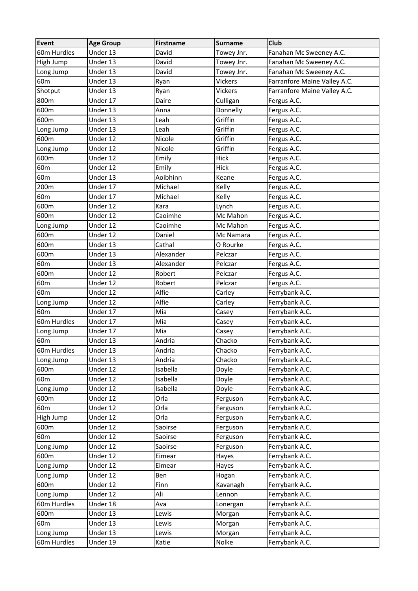| Event           | <b>Age Group</b> | <b>Firstname</b> | <b>Surname</b> | <b>Club</b>                  |
|-----------------|------------------|------------------|----------------|------------------------------|
| 60m Hurdles     | Under 13         | David            | Towey Jnr.     | Fanahan Mc Sweeney A.C.      |
| High Jump       | Under 13         | David            | Towey Jnr.     | Fanahan Mc Sweeney A.C.      |
| Long Jump       | Under 13         | David            | Towey Jnr.     | Fanahan Mc Sweeney A.C.      |
| 60 <sub>m</sub> | Under 13         | Ryan             | Vickers        | Farranfore Maine Valley A.C. |
| Shotput         | Under 13         | Ryan             | Vickers        | Farranfore Maine Valley A.C. |
| 800m            | Under 17         | Daire            | Culligan       | Fergus A.C.                  |
| 600m            | Under 13         | Anna             | Donnelly       | Fergus A.C.                  |
| 600m            | Under 13         | Leah             | Griffin        | Fergus A.C.                  |
| Long Jump       | Under 13         | Leah             | Griffin        | Fergus A.C.                  |
| 600m            | Under 12         | Nicole           | Griffin        | Fergus A.C.                  |
| Long Jump       | Under 12         | Nicole           | Griffin        | Fergus A.C.                  |
| 600m            | Under 12         | Emily            | Hick           | Fergus A.C.                  |
| 60 <sub>m</sub> | Under 12         | Emily            | Hick           | Fergus A.C.                  |
| 60 <sub>m</sub> | Under 13         | Aoibhinn         | Keane          | Fergus A.C.                  |
| 200m            | Under 17         | Michael          | Kelly          | Fergus A.C.                  |
| 60 <sub>m</sub> | Under 17         | Michael          | Kelly          | Fergus A.C.                  |
| 600m            | Under 12         | Kara             | Lynch          | Fergus A.C.                  |
| 600m            | Under 12         | Caoimhe          | Mc Mahon       | Fergus A.C.                  |
| Long Jump       | Under 12         | Caoimhe          | Mc Mahon       | Fergus A.C.                  |
| 600m            | Under 12         | Daniel           | Mc Namara      | Fergus A.C.                  |
| 600m            | Under 13         | Cathal           | O Rourke       | Fergus A.C.                  |
| 600m            | Under 13         | Alexander        | Pelczar        | Fergus A.C.                  |
| 60 <sub>m</sub> | Under 13         | Alexander        | Pelczar        | Fergus A.C.                  |
| 600m            | Under 12         | Robert           | Pelczar        | Fergus A.C.                  |
| 60 <sub>m</sub> | Under 12         | Robert           | Pelczar        | Fergus A.C.                  |
| 60 <sub>m</sub> | Under 12         | Alfie            | Carley         | Ferrybank A.C.               |
| Long Jump       | Under 12         | Alfie            | Carley         | Ferrybank A.C.               |
| 60 <sub>m</sub> | Under 17         | Mia              | Casey          | Ferrybank A.C.               |
| 60m Hurdles     | Under 17         | Mia              | Casey          | Ferrybank A.C.               |
| Long Jump       | Under 17         | Mia              | Casey          | Ferrybank A.C.               |
| 60 <sub>m</sub> | Under 13         | Andria           | Chacko         | Ferrybank A.C.               |
| 60m Hurdles     | Under 13         | Andria           | Chacko         | Ferrybank A.C.               |
| Long Jump       | Under 13         | Andria           | Chacko         | Ferrybank A.C.               |
| 600m            | Under 12         | Isabella         | Doyle          | Ferrybank A.C.               |
| 60 <sub>m</sub> | Under 12         | Isabella         | Doyle          | Ferrybank A.C.               |
| Long Jump       | Under 12         | Isabella         | Doyle          | Ferrybank A.C.               |
| 600m            | Under 12         | Orla             | Ferguson       | Ferrybank A.C.               |
| 60 <sub>m</sub> | Under 12         | Orla             | Ferguson       | Ferrybank A.C.               |
| High Jump       | Under 12         | Orla             | Ferguson       | Ferrybank A.C.               |
| 600m            | Under 12         | Saoirse          | Ferguson       | Ferrybank A.C.               |
| 60 <sub>m</sub> | Under 12         | Saoirse          | Ferguson       | Ferrybank A.C.               |
| Long Jump       | Under 12         | Saoirse          | Ferguson       | Ferrybank A.C.               |
| 600m            | Under 12         | Eimear           | Hayes          | Ferrybank A.C.               |
| Long Jump       | Under 12         | Eimear           | Hayes          | Ferrybank A.C.               |
| Long Jump       | Under 12         | Ben              | Hogan          | Ferrybank A.C.               |
| 600m            | Under 12         | Finn             | Kavanagh       | Ferrybank A.C.               |
| Long Jump       | Under 12         | Ali              | Lennon         | Ferrybank A.C.               |
| 60m Hurdles     | Under 18         | Ava              | Lonergan       | Ferrybank A.C.               |
| 600m            | Under 13         | Lewis            | Morgan         | Ferrybank A.C.               |
| 60 <sub>m</sub> | Under 13         | Lewis            | Morgan         | Ferrybank A.C.               |
| Long Jump       | Under 13         | Lewis            | Morgan         | Ferrybank A.C.               |
| 60m Hurdles     | Under 19         | Katie            | Nolke          | Ferrybank A.C.               |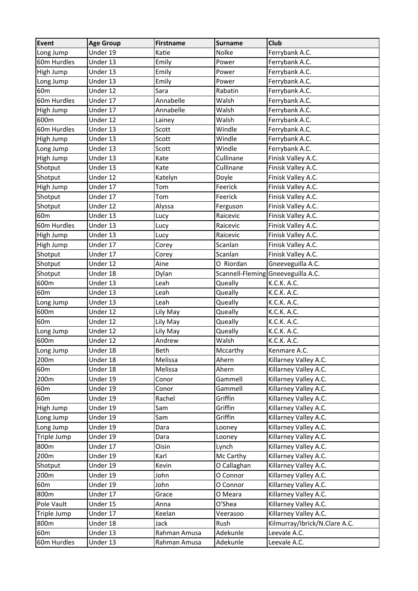| <b>Event</b>    | <b>Age Group</b> | <b>Firstname</b> | <b>Surname</b> | <b>Club</b>                        |
|-----------------|------------------|------------------|----------------|------------------------------------|
| Long Jump       | Under 19         | Katie            | Nolke          | Ferrybank A.C.                     |
| 60m Hurdles     | Under 13         | Emily            | Power          | Ferrybank A.C.                     |
| High Jump       | Under 13         | Emily            | Power          | Ferrybank A.C.                     |
| Long Jump       | Under 13         | Emily            | Power          | Ferrybank A.C.                     |
| 60 <sub>m</sub> | Under 12         | Sara             | Rabatin        | Ferrybank A.C.                     |
| 60m Hurdles     | Under 17         | Annabelle        | Walsh          | Ferrybank A.C.                     |
| High Jump       | Under 17         | Annabelle        | Walsh          | Ferrybank A.C.                     |
| 600m            | Under 12         | Lainey           | Walsh          | Ferrybank A.C.                     |
| 60m Hurdles     | Under 13         | Scott            | Windle         | Ferrybank A.C.                     |
| High Jump       | Under 13         | Scott            | Windle         | Ferrybank A.C.                     |
| Long Jump       | Under 13         | Scott            | Windle         | Ferrybank A.C.                     |
| High Jump       | Under 13         | Kate             | Cullinane      | Finisk Valley A.C.                 |
| Shotput         | Under 13         | Kate             | Cullinane      | Finisk Valley A.C.                 |
| Shotput         | Under 12         | Katelyn          | Doyle          | Finisk Valley A.C.                 |
| High Jump       | Under 17         | Tom              | Feerick        | Finisk Valley A.C.                 |
| Shotput         | Under 17         | Tom              | Feerick        | Finisk Valley A.C.                 |
| Shotput         | Under 12         | Alyssa           | Ferguson       | Finisk Valley A.C.                 |
| 60 <sub>m</sub> | Under 13         | Lucy             | Raicevic       | Finisk Valley A.C.                 |
| 60m Hurdles     | Under 13         | Lucy             | Raicevic       | Finisk Valley A.C.                 |
| High Jump       | Under 13         | Lucy             | Raicevic       | Finisk Valley A.C.                 |
| High Jump       | Under 17         | Corey            | Scanlan        | Finisk Valley A.C.                 |
| Shotput         | Under 17         | Corey            | Scanlan        | Finisk Valley A.C.                 |
| Shotput         | Under 12         | Aine             | O Riordan      | Gneeveguilla A.C.                  |
| Shotput         | Under 18         | Dylan            |                | Scannell-Fleming Gneeveguilla A.C. |
| 600m            | Under 13         | Leah             | Queally        | K.C.K. A.C.                        |
| 60 <sub>m</sub> | Under 13         | Leah             | Queally        | K.C.K. A.C.                        |
| Long Jump       | Under 13         | Leah             | Queally        | K.C.K. A.C.                        |
| 600m            | Under 12         | Lily May         | Queally        | K.C.K. A.C.                        |
| 60 <sub>m</sub> | Under 12         | Lily May         | Queally        | K.C.K. A.C.                        |
| Long Jump       | Under 12         | Lily May         | Queally        | K.C.K. A.C.                        |
| 600m            | Under 12         | Andrew           | Walsh          | K.C.K. A.C.                        |
| Long Jump       | Under 18         | Beth             | Mccarthy       | Kenmare A.C.                       |
| 200m            | Under 18         | Melissa          | Ahern          | Killarney Valley A.C.              |
| 60 <sub>m</sub> | Under 18         | Melissa          | Ahern          | Killarney Valley A.C.              |
| 200m            | Under 19         | Conor            | Gammell        | Killarney Valley A.C.              |
| 60 <sub>m</sub> | Under 19         | Conor            | Gammell        | Killarney Valley A.C.              |
| 60 <sub>m</sub> | Under 19         | Rachel           | Griffin        | Killarney Valley A.C.              |
| High Jump       | Under 19         | Sam              | Griffin        | Killarney Valley A.C.              |
| Long Jump       | Under 19         | Sam              | Griffin        | Killarney Valley A.C.              |
| Long Jump       | Under 19         | Dara             | Looney         | Killarney Valley A.C.              |
| Triple Jump     | Under 19         | Dara             | Looney         | Killarney Valley A.C.              |
| 800m            | Under 17         | Oisin            | Lynch          | Killarney Valley A.C.              |
| 200m            | Under 19         | Karl             | Mc Carthy      | Killarney Valley A.C.              |
| Shotput         | Under 19         | Kevin            | O Callaghan    | Killarney Valley A.C.              |
| 200m            | Under 19         | John             | O Connor       | Killarney Valley A.C.              |
| 60 <sub>m</sub> | Under 19         | John             | O Connor       | Killarney Valley A.C.              |
| 800m            | Under 17         | Grace            | O Meara        | Killarney Valley A.C.              |
| Pole Vault      | Under 15         | Anna             | O'Shea         | Killarney Valley A.C.              |
| Triple Jump     | Under 17         | Keelan           | Veerasoo       | Killarney Valley A.C.              |
| 800m            | Under 18         | Jack             | Rush           | Kilmurray/Ibrick/N.Clare A.C.      |
| 60 <sub>m</sub> | Under 13         | Rahman Amusa     | Adekunle       | Leevale A.C.                       |
| 60m Hurdles     | Under 13         | Rahman Amusa     | Adekunle       | Leevale A.C.                       |
|                 |                  |                  |                |                                    |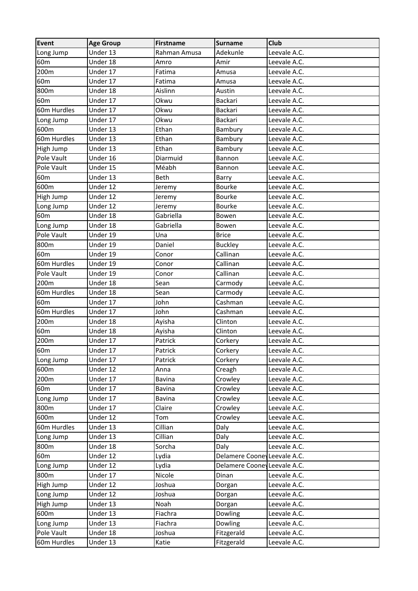| <b>Event</b>    | <b>Age Group</b> | Firstname     | <b>Surname</b>               | <b>Club</b>  |
|-----------------|------------------|---------------|------------------------------|--------------|
| Long Jump       | Under 13         | Rahman Amusa  | Adekunle                     | Leevale A.C. |
| 60 <sub>m</sub> | Under 18         | Amro          | Amir                         | Leevale A.C. |
| 200m            | Under 17         | Fatima        | Amusa                        | Leevale A.C. |
| 60 <sub>m</sub> | Under 17         | Fatima        | Amusa                        | Leevale A.C. |
| 800m            | Under 18         | Aislinn       | Austin                       | Leevale A.C. |
| 60 <sub>m</sub> | Under 17         | Okwu          | Backari                      | Leevale A.C. |
| 60m Hurdles     | Under 17         | Okwu          | Backari                      | Leevale A.C. |
| Long Jump       | Under 17         | Okwu          | Backari                      | Leevale A.C. |
| 600m            | Under 13         | Ethan         | Bambury                      | Leevale A.C. |
| 60m Hurdles     | Under 13         | Ethan         | Bambury                      | Leevale A.C. |
| High Jump       | Under 13         | Ethan         | Bambury                      | Leevale A.C. |
| Pole Vault      | Under 16         | Diarmuid      | Bannon                       | Leevale A.C. |
| Pole Vault      | Under 15         | Méabh         | Bannon                       | Leevale A.C. |
| 60 <sub>m</sub> | Under 13         | <b>Beth</b>   | Barry                        | Leevale A.C. |
| 600m            | Under 12         | Jeremy        | <b>Bourke</b>                | Leevale A.C. |
| High Jump       | Under 12         | Jeremy        | Bourke                       | Leevale A.C. |
| Long Jump       | Under 12         | Jeremy        | Bourke                       | Leevale A.C. |
| 60 <sub>m</sub> | Under 18         | Gabriella     | Bowen                        | Leevale A.C. |
| Long Jump       | Under 18         | Gabriella     | Bowen                        | Leevale A.C. |
| Pole Vault      | Under 19         | Una           | <b>Brice</b>                 | Leevale A.C. |
| 800m            | Under 19         | Daniel        | <b>Buckley</b>               | Leevale A.C. |
| 60 <sub>m</sub> | Under 19         | Conor         | Callinan                     | Leevale A.C. |
| 60m Hurdles     | Under 19         | Conor         | Callinan                     | Leevale A.C. |
| Pole Vault      | Under 19         | Conor         | Callinan                     | Leevale A.C. |
| 200m            | Under 18         | Sean          | Carmody                      | Leevale A.C. |
| 60m Hurdles     | Under 18         | Sean          | Carmody                      | Leevale A.C. |
| 60 <sub>m</sub> | Under 17         | John          | Cashman                      | Leevale A.C. |
| 60m Hurdles     | Under 17         | John          | Cashman                      | Leevale A.C. |
| 200m            | Under 18         | Ayisha        | Clinton                      | Leevale A.C. |
| 60 <sub>m</sub> | Under 18         | Ayisha        | Clinton                      | Leevale A.C. |
| 200m            | Under 17         | Patrick       | Corkery                      | Leevale A.C. |
| 60 <sub>m</sub> | Under 17         | Patrick       | Corkery                      | Leevale A.C. |
| Long Jump       | Under 17         | Patrick       | Corkery                      | Leevale A.C. |
| 600m            | Under 12         | Anna          | Creagh                       | Leevale A.C. |
| 200m            | Under 17         | Bavina        | Crowley                      | Leevale A.C. |
| 60 <sub>m</sub> | Under 17         | <b>Bavina</b> | Crowley                      | Leevale A.C. |
| Long Jump       | Under 17         | <b>Bavina</b> | Crowley                      | Leevale A.C. |
| 800m            | Under 17         | Claire        | Crowley                      | Leevale A.C. |
| 600m            | Under 12         | Tom           | Crowley                      | Leevale A.C. |
| 60m Hurdles     | Under 13         | Cillian       | Daly                         | Leevale A.C. |
| Long Jump       | Under 13         | Cillian       | Daly                         | Leevale A.C. |
| 800m            | Under 18         | Sorcha        | Daly                         | Leevale A.C. |
| 60 <sub>m</sub> | Under 12         | Lydia         | Delamere Cooney Leevale A.C. |              |
| Long Jump       | Under 12         | Lydia         | Delamere Cooney Leevale A.C. |              |
| 800m            | Under 17         | Nicole        | Dinan                        | Leevale A.C. |
| High Jump       | Under 12         | Joshua        | Dorgan                       | Leevale A.C. |
| Long Jump       | Under 12         | Joshua        | Dorgan                       | Leevale A.C. |
| High Jump       | Under 13         | Noah          | Dorgan                       | Leevale A.C. |
| 600m            | Under 13         | Fiachra       | Dowling                      | Leevale A.C. |
| Long Jump       | Under 13         | Fiachra       | Dowling                      | Leevale A.C. |
| Pole Vault      | Under 18         | Joshua        | Fitzgerald                   | Leevale A.C. |
| 60m Hurdles     | Under 13         | Katie         | Fitzgerald                   | Leevale A.C. |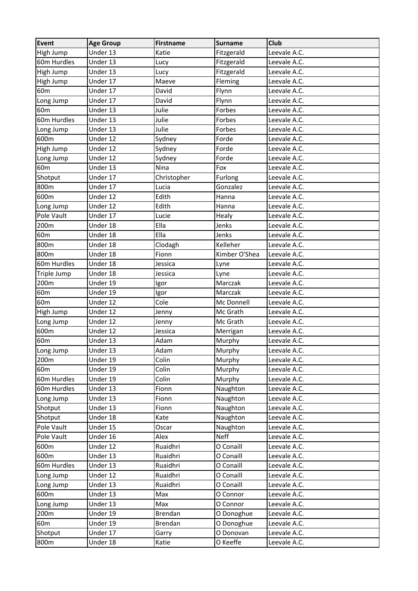| <b>Event</b>    | <b>Age Group</b> | Firstname      | <b>Surname</b> | <b>Club</b>  |
|-----------------|------------------|----------------|----------------|--------------|
| High Jump       | Under 13         | Katie          | Fitzgerald     | Leevale A.C. |
| 60m Hurdles     | Under 13         | Lucy           | Fitzgerald     | Leevale A.C. |
| High Jump       | Under 13         | Lucy           | Fitzgerald     | Leevale A.C. |
| High Jump       | Under 17         | Maeve          | Fleming        | Leevale A.C. |
| 60 <sub>m</sub> | Under 17         | David          | Flynn          | Leevale A.C. |
| Long Jump       | Under 17         | David          | Flynn          | Leevale A.C. |
| 60 <sub>m</sub> | Under 13         | Julie          | Forbes         | Leevale A.C. |
| 60m Hurdles     | Under 13         | Julie          | Forbes         | Leevale A.C. |
| Long Jump       | Under 13         | Julie          | Forbes         | Leevale A.C. |
| 600m            | Under 12         | Sydney         | Forde          | Leevale A.C. |
| High Jump       | Under 12         | Sydney         | Forde          | Leevale A.C. |
| Long Jump       | Under 12         | Sydney         | Forde          | Leevale A.C. |
| 60 <sub>m</sub> | Under 13         | Nina           | Fox            | Leevale A.C. |
| Shotput         | Under 17         | Christopher    | Furlong        | Leevale A.C. |
| 800m            | Under 17         | Lucia          | Gonzalez       | Leevale A.C. |
| 600m            | Under 12         | Edith          | Hanna          | Leevale A.C. |
| Long Jump       | Under 12         | Edith          | Hanna          | Leevale A.C. |
| Pole Vault      | Under 17         | Lucie          | Healy          | Leevale A.C. |
| 200m            | Under 18         | Ella           | Jenks          | Leevale A.C. |
| 60 <sub>m</sub> | Under 18         | Ella           | Jenks          | Leevale A.C. |
| 800m            | Under 18         | Clodagh        | Kelleher       | Leevale A.C. |
| 800m            | Under 18         | Fionn          | Kimber O'Shea  | Leevale A.C. |
| 60m Hurdles     | Under 18         | Jessica        | Lyne           | Leevale A.C. |
| Triple Jump     | Under 18         | Jessica        | Lyne           | Leevale A.C. |
| 200m            | Under 19         | Igor           | Marczak        | Leevale A.C. |
| 60 <sub>m</sub> | Under 19         | Igor           | Marczak        | Leevale A.C. |
| 60 <sub>m</sub> | Under 12         | Cole           | Mc Donnell     | Leevale A.C. |
| High Jump       | Under 12         | Jenny          | Mc Grath       | Leevale A.C. |
| Long Jump       | Under 12         | Jenny          | Mc Grath       | Leevale A.C. |
| 600m            | Under 12         | Jessica        | Merrigan       | Leevale A.C. |
| 60 <sub>m</sub> | Under 13         | Adam           | Murphy         | Leevale A.C. |
| Long Jump       | Under 13         | Adam           | Murphy         | Leevale A.C. |
| 200m            | Under 19         | Colin          | Murphy         | Leevale A.C. |
| 60 <sub>m</sub> | Under 19         | Colin          | Murphy         | Leevale A.C. |
| 60m Hurdles     | Under 19         | Colin          | Murphy         | Leevale A.C. |
| 60m Hurdles     | Under 13         | Fionn          | Naughton       | Leevale A.C. |
| Long Jump       | Under 13         | Fionn          | Naughton       | Leevale A.C. |
| Shotput         | Under 13         | Fionn          | Naughton       | Leevale A.C. |
| Shotput         | Under 18         | Kate           | Naughton       | Leevale A.C. |
| Pole Vault      | Under 15         | Oscar          | Naughton       | Leevale A.C. |
| Pole Vault      | Under 16         | Alex           | <b>Neff</b>    | Leevale A.C. |
| 600m            | Under 12         | Ruaidhri       | O Conaill      | Leevale A.C. |
| 600m            | Under 13         | Ruaidhri       | O Conaill      | Leevale A.C. |
| 60m Hurdles     | Under 13         | Ruaidhri       | O Conaill      | Leevale A.C. |
| Long Jump       | Under 12         | Ruaidhri       | O Conaill      | Leevale A.C. |
| Long Jump       | Under 13         | Ruaidhri       | O Conaill      | Leevale A.C. |
| 600m            | Under 13         | Max            | O Connor       | Leevale A.C. |
| Long Jump       | Under 13         | Max            | O Connor       | Leevale A.C. |
| 200m            | Under 19         | <b>Brendan</b> | O Donoghue     | Leevale A.C. |
| 60 <sub>m</sub> | Under 19         | <b>Brendan</b> | O Donoghue     | Leevale A.C. |
| Shotput         | Under 17         | Garry          | O Donovan      | Leevale A.C. |
| 800m            | Under 18         | Katie          | O Keeffe       | Leevale A.C. |
|                 |                  |                |                |              |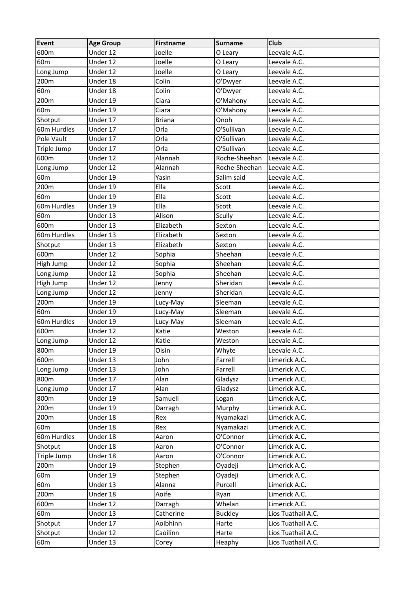| <b>Event</b>    | <b>Age Group</b> | Firstname     | <b>Surname</b> | Club               |
|-----------------|------------------|---------------|----------------|--------------------|
| 600m            | Under 12         | Joelle        | O Leary        | Leevale A.C.       |
| 60 <sub>m</sub> | Under 12         | Joelle        | O Leary        | Leevale A.C.       |
| Long Jump       | Under 12         | Joelle        | O Leary        | Leevale A.C.       |
| 200m            | Under 18         | Colin         | O'Dwyer        | Leevale A.C.       |
| 60 <sub>m</sub> | Under 18         | Colin         | O'Dwyer        | Leevale A.C.       |
| 200m            | Under 19         | Ciara         | O'Mahony       | Leevale A.C.       |
| 60 <sub>m</sub> | Under 19         | Ciara         | O'Mahony       | Leevale A.C.       |
| Shotput         | Under 17         | <b>Briana</b> | Onoh           | Leevale A.C.       |
| 60m Hurdles     | Under 17         | Orla          | O'Sullivan     | Leevale A.C.       |
| Pole Vault      | Under 17         | Orla          | O'Sullivan     | Leevale A.C.       |
| Triple Jump     | Under 17         | Orla          | O'Sullivan     | Leevale A.C.       |
| 600m            | Under 12         | Alannah       | Roche-Sheehan  | Leevale A.C.       |
| Long Jump       | Under 12         | Alannah       | Roche-Sheehan  | Leevale A.C.       |
| 60 <sub>m</sub> | Under 19         | Yasin         | Salim said     | Leevale A.C.       |
| 200m            | Under 19         | Ella          | Scott          | Leevale A.C.       |
| 60 <sub>m</sub> | Under 19         | Ella          | Scott          | Leevale A.C.       |
| 60m Hurdles     | Under 19         | Ella          | Scott          | Leevale A.C.       |
| 60 <sub>m</sub> | Under 13         | Alison        | Scully         | Leevale A.C.       |
| 600m            | Under 13         | Elizabeth     | Sexton         | Leevale A.C.       |
| 60m Hurdles     | Under 13         | Elizabeth     | Sexton         | Leevale A.C.       |
| Shotput         | Under 13         | Elizabeth     | Sexton         | Leevale A.C.       |
| 600m            | Under 12         | Sophia        | Sheehan        | Leevale A.C.       |
| High Jump       | Under 12         | Sophia        | Sheehan        | Leevale A.C.       |
| Long Jump       | Under 12         | Sophia        | Sheehan        | Leevale A.C.       |
| High Jump       | Under 12         | Jenny         | Sheridan       | Leevale A.C.       |
| Long Jump       | Under 12         | Jenny         | Sheridan       | Leevale A.C.       |
| 200m            | Under 19         | Lucy-May      | Sleeman        | Leevale A.C.       |
| 60 <sub>m</sub> | Under 19         | Lucy-May      | Sleeman        | Leevale A.C.       |
| 60m Hurdles     | Under 19         | Lucy-May      | Sleeman        | Leevale A.C.       |
| 600m            | Under 12         | Katie         | Weston         | Leevale A.C.       |
| Long Jump       | Under 12         | Katie         | Weston         | Leevale A.C.       |
| 800m            | Under 19         | Oisin         | Whyte          | Leevale A.C.       |
| 600m            | Under 13         | John          | Farrell        | Limerick A.C.      |
| Long Jump       | Under 13         | John          | Farrell        | Limerick A.C.      |
| 800m            | Under 17         | Alan          | Gladysz        | Limerick A.C.      |
| Long Jump       | Under 17         | Alan          | Gladysz        | Limerick A.C.      |
| 800m            | Under 19         | Samuell       | Logan          | Limerick A.C.      |
| 200m            | Under 19         | Darragh       | Murphy         | Limerick A.C.      |
| 200m            | Under 18         | Rex           | Nyamakazi      | Limerick A.C.      |
| 60 <sub>m</sub> | Under 18         | Rex           | Nyamakazi      | Limerick A.C.      |
| 60m Hurdles     | Under 18         | Aaron         | O'Connor       | Limerick A.C.      |
| Shotput         | Under 18         | Aaron         | O'Connor       | Limerick A.C.      |
| Triple Jump     | Under 18         | Aaron         | O'Connor       | Limerick A.C.      |
| 200m            | Under 19         | Stephen       | Oyadeji        | Limerick A.C.      |
| 60 <sub>m</sub> | Under 19         | Stephen       | Oyadeji        | Limerick A.C.      |
| 60 <sub>m</sub> | Under 13         | Alanna        | Purcell        | Limerick A.C.      |
| 200m            | Under 18         | Aoife         | Ryan           | Limerick A.C.      |
| 600m            | Under 12         | Darragh       | Whelan         | Limerick A.C.      |
| 60 <sub>m</sub> | Under 13         | Catherine     | <b>Buckley</b> | Lios Tuathail A.C. |
| Shotput         | Under 17         | Aoibhínn      | Harte          | Lios Tuathail A.C. |
| Shotput         | Under 12         | Caoilinn      | Harte          | Lios Tuathail A.C. |
| 60 <sub>m</sub> | Under 13         | Corey         | Heaphy         | Lios Tuathail A.C. |
|                 |                  |               |                |                    |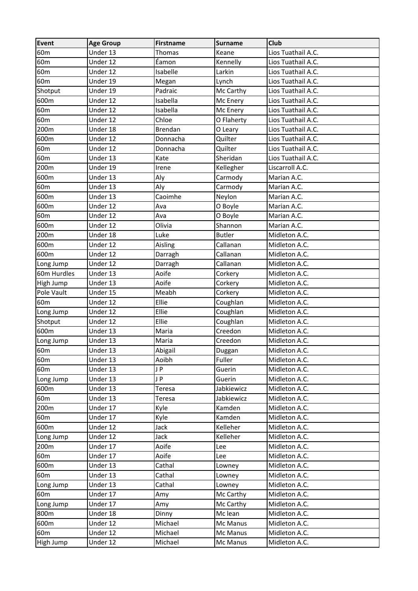| Event           | <b>Age Group</b> | Firstname      | <b>Surname</b> | Club               |
|-----------------|------------------|----------------|----------------|--------------------|
| 60 <sub>m</sub> | Under 13         | Thomas         | Keane          | Lios Tuathail A.C. |
| 60 <sub>m</sub> | Under 12         | Éamon          | Kennelly       | Lios Tuathail A.C. |
| 60 <sub>m</sub> | Under 12         | Isabelle       | Larkin         | Lios Tuathail A.C. |
| 60 <sub>m</sub> | Under 19         | Megan          | Lynch          | Lios Tuathail A.C. |
| Shotput         | Under 19         | Padraic        | Mc Carthy      | Lios Tuathail A.C. |
| 600m            | Under 12         | Isabella       | Mc Enery       | Lios Tuathail A.C. |
| 60 <sub>m</sub> | Under 12         | Isabella       | Mc Enery       | Lios Tuathail A.C. |
| 60 <sub>m</sub> | Under 12         | Chloe          | O Flaherty     | Lios Tuathail A.C. |
| 200m            | Under 18         | <b>Brendan</b> | O Leary        | Lios Tuathail A.C. |
| 600m            | Under 12         | Donnacha       | Quilter        | Lios Tuathail A.C. |
| 60 <sub>m</sub> | Under 12         | Donnacha       | Quilter        | Lios Tuathail A.C. |
| 60 <sub>m</sub> | Under 13         | Kate           | Sheridan       | Lios Tuathail A.C. |
| 200m            | Under 19         | Irene          | Kellegher      | Liscarroll A.C.    |
| 600m            | Under 13         | Aly            | Carmody        | Marian A.C.        |
| 60 <sub>m</sub> | Under 13         | Aly            | Carmody        | Marian A.C.        |
| 600m            | Under 13         | Caoimhe        | Neylon         | Marian A.C.        |
| 600m            | Under 12         | Ava            | O Boyle        | Marian A.C.        |
| 60 <sub>m</sub> | Under 12         | Ava            | O Boyle        | Marian A.C.        |
| 600m            | Under 12         | Olivia         | Shannon        | Marian A.C.        |
| 200m            | Under 18         | Luke           | <b>Butler</b>  | Midleton A.C.      |
| 600m            | Under 12         | Aisling        | Callanan       | Midleton A.C.      |
| 600m            | Under 12         | Darragh        | Callanan       | Midleton A.C.      |
| Long Jump       | Under 12         | Darragh        | Callanan       | Midleton A.C.      |
| 60m Hurdles     | Under 13         | Aoife          | Corkery        | Midleton A.C.      |
| High Jump       | Under 13         | Aoife          | Corkery        | Midleton A.C.      |
| Pole Vault      | Under 15         | Meabh          | Corkery        | Midleton A.C.      |
| 60 <sub>m</sub> | Under 12         | Ellie          | Coughlan       | Midleton A.C.      |
| Long Jump       | Under 12         | Ellie          | Coughlan       | Midleton A.C.      |
| Shotput         | Under 12         | Ellie          | Coughlan       | Midleton A.C.      |
| 600m            | Under 13         | Maria          | Creedon        | Midleton A.C.      |
| Long Jump       | Under 13         | Maria          | Creedon        | Midleton A.C.      |
| 60 <sub>m</sub> | Under 13         | Abigail        | Duggan         | Midleton A.C.      |
| 60 <sub>m</sub> | Under 13         | Aoibh          | Fuller         | Midleton A.C.      |
| 60 <sub>m</sub> | Under 13         | JP             | Guerin         | Midleton A.C.      |
| Long Jump       | Under 13         | JP             | Guerin         | Midleton A.C.      |
| 600m            | Under 13         | Teresa         | Jabkiewicz     | Midleton A.C.      |
| 60 <sub>m</sub> | Under 13         | Teresa         | Jabkiewicz     | Midleton A.C.      |
| 200m            | Under 17         | Kyle           | Kamden         | Midleton A.C.      |
| 60 <sub>m</sub> | Under 17         | Kyle           | Kamden         | Midleton A.C.      |
| 600m            | Under 12         | Jack           | Kelleher       | Midleton A.C.      |
| Long Jump       | Under 12         | Jack           | Kelleher       | Midleton A.C.      |
| 200m            | Under 17         | Aoife          | Lee            | Midleton A.C.      |
| 60 <sub>m</sub> | Under 17         | Aoife          | Lee            | Midleton A.C.      |
| 600m            | Under 13         | Cathal         | Lowney         | Midleton A.C.      |
| 60 <sub>m</sub> | Under 13         | Cathal         | Lowney         | Midleton A.C.      |
| Long Jump       | Under 13         | Cathal         | Lowney         | Midleton A.C.      |
| 60 <sub>m</sub> | Under 17         | Amy            | Mc Carthy      | Midleton A.C.      |
| Long Jump       | Under 17         | Amy            | Mc Carthy      | Midleton A.C.      |
| 800m            | Under 18         | Dinny          | Mc lean        | Midleton A.C.      |
| 600m            | Under 12         | Michael        | Mc Manus       | Midleton A.C.      |
| 60 <sub>m</sub> | Under 12         | Michael        | Mc Manus       | Midleton A.C.      |
| High Jump       | Under 12         | Michael        | Mc Manus       | Midleton A.C.      |
|                 |                  |                |                |                    |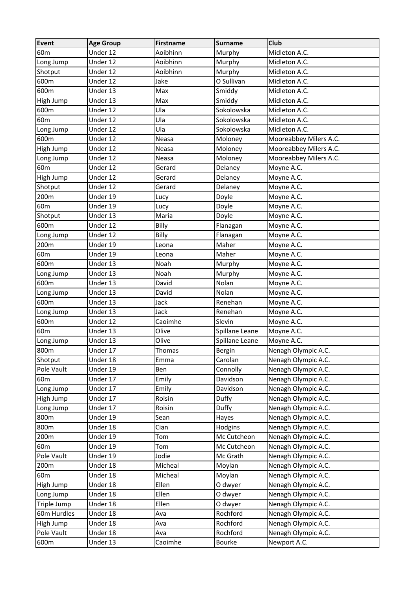| Event           | <b>Age Group</b> | Firstname | <b>Surname</b> | <b>Club</b>            |
|-----------------|------------------|-----------|----------------|------------------------|
| 60 <sub>m</sub> | Under 12         | Aoibhinn  | Murphy         | Midleton A.C.          |
| Long Jump       | Under 12         | Aoibhinn  | Murphy         | Midleton A.C.          |
| Shotput         | Under 12         | Aoibhinn  | Murphy         | Midleton A.C.          |
| 600m            | Under 12         | Jake      | O Sullivan     | Midleton A.C.          |
| 600m            | Under 13         | Max       | Smiddy         | Midleton A.C.          |
| High Jump       | Under 13         | Max       | Smiddy         | Midleton A.C.          |
| 600m            | Under 12         | Ula       | Sokolowska     | Midleton A.C.          |
| 60 <sub>m</sub> | Under 12         | Ula       | Sokolowska     | Midleton A.C.          |
| Long Jump       | Under 12         | Ula       | Sokolowska     | Midleton A.C.          |
| 600m            | Under 12         | Neasa     | Moloney        | Mooreabbey Milers A.C. |
| High Jump       | Under 12         | Neasa     | Moloney        | Mooreabbey Milers A.C. |
| Long Jump       | Under 12         | Neasa     | Moloney        | Mooreabbey Milers A.C. |
| 60 <sub>m</sub> | Under 12         | Gerard    | Delaney        | Moyne A.C.             |
| High Jump       | Under 12         | Gerard    | Delaney        | Moyne A.C.             |
| Shotput         | Under 12         | Gerard    | Delaney        | Moyne A.C.             |
| 200m            | Under 19         | Lucy      | Doyle          | Moyne A.C.             |
| 60 <sub>m</sub> | Under 19         | Lucy      | Doyle          | Moyne A.C.             |
| Shotput         | Under 13         | Maria     | Doyle          | Moyne A.C.             |
| 600m            | Under 12         | Billy     | Flanagan       | Moyne A.C.             |
| Long Jump       | Under 12         | Billy     | Flanagan       | Moyne A.C.             |
| 200m            | Under 19         | Leona     | Maher          | Moyne A.C.             |
| 60 <sub>m</sub> | Under 19         | Leona     | Maher          | Moyne A.C.             |
| 600m            | Under 13         | Noah      | Murphy         | Moyne A.C.             |
| Long Jump       | Under 13         | Noah      | Murphy         | Moyne A.C.             |
| 600m            | Under 13         | David     | Nolan          | Moyne A.C.             |
| Long Jump       | Under 13         | David     | Nolan          | Moyne A.C.             |
| 600m            | Under 13         | Jack      | Renehan        | Moyne A.C.             |
| Long Jump       | Under 13         | Jack      | Renehan        | Moyne A.C.             |
| 600m            | Under 12         | Caoimhe   | Slevin         | Moyne A.C.             |
| 60 <sub>m</sub> | Under 13         | Olive     | Spillane Leane | Moyne A.C.             |
| Long Jump       | Under 13         | Olive     | Spillane Leane | Moyne A.C.             |
| 800m            | Under 17         | Thomas    | Bergin         | Nenagh Olympic A.C.    |
| Shotput         | Under 18         | Emma      | Carolan        | Nenagh Olympic A.C.    |
| Pole Vault      | Under 19         | Ben       | Connolly       | Nenagh Olympic A.C.    |
| 60 <sub>m</sub> | Under 17         | Emily     | Davidson       | Nenagh Olympic A.C.    |
| Long Jump       | Under 17         | Emily     | Davidson       | Nenagh Olympic A.C.    |
| High Jump       | Under 17         | Roisin    | Duffy          | Nenagh Olympic A.C.    |
| Long Jump       | Under 17         | Roisin    | Duffy          | Nenagh Olympic A.C.    |
| 800m            | Under 19         | Sean      | Hayes          | Nenagh Olympic A.C.    |
| 800m            | Under 18         | Cian      | Hodgins        | Nenagh Olympic A.C.    |
| 200m            | Under 19         | Tom       | Mc Cutcheon    | Nenagh Olympic A.C.    |
| 60 <sub>m</sub> | Under 19         | Tom       | Mc Cutcheon    | Nenagh Olympic A.C.    |
| Pole Vault      | Under 19         | Jodie     | Mc Grath       | Nenagh Olympic A.C.    |
| 200m            | Under 18         | Micheal   | Moylan         | Nenagh Olympic A.C.    |
| 60 <sub>m</sub> | Under 18         | Micheal   | Moylan         | Nenagh Olympic A.C.    |
| High Jump       | Under 18         | Ellen     | O dwyer        | Nenagh Olympic A.C.    |
| Long Jump       | Under 18         | Ellen     | O dwyer        | Nenagh Olympic A.C.    |
| Triple Jump     | Under 18         | Ellen     | O dwyer        | Nenagh Olympic A.C.    |
| 60m Hurdles     | Under 18         | Ava       | Rochford       | Nenagh Olympic A.C.    |
| High Jump       | Under 18         | Ava       | Rochford       | Nenagh Olympic A.C.    |
| Pole Vault      | Under 18         | Ava       | Rochford       | Nenagh Olympic A.C.    |
| 600m            | Under 13         | Caoimhe   | Bourke         | Newport A.C.           |
|                 |                  |           |                |                        |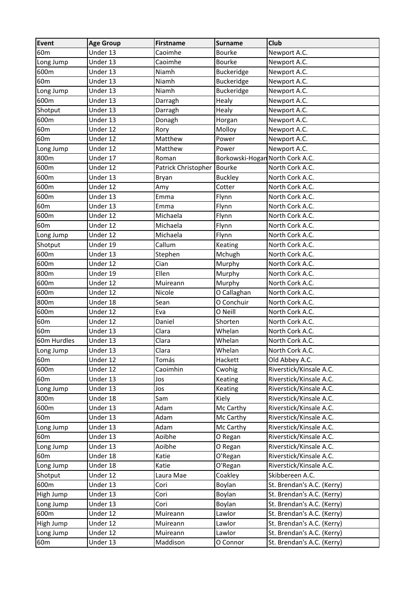| <b>Event</b>    | <b>Age Group</b> | <b>Firstname</b>    | <b>Surname</b>                  | Club                       |
|-----------------|------------------|---------------------|---------------------------------|----------------------------|
| 60 <sub>m</sub> | Under 13         | Caoimhe             | <b>Bourke</b>                   | Newport A.C.               |
| Long Jump       | Under 13         | Caoimhe             | <b>Bourke</b>                   | Newport A.C.               |
| 600m            | Under 13         | Niamh               | Buckeridge                      | Newport A.C.               |
| 60 <sub>m</sub> | Under 13         | Niamh               | Buckeridge                      | Newport A.C.               |
| Long Jump       | Under 13         | Niamh               | <b>Buckeridge</b>               | Newport A.C.               |
| 600m            | Under 13         | Darragh             | Healy                           | Newport A.C.               |
| Shotput         | Under 13         | Darragh             | Healy                           | Newport A.C.               |
| 600m            | Under 13         | Donagh              | Horgan                          | Newport A.C.               |
| 60 <sub>m</sub> | Under 12         | Rory                | Molloy                          | Newport A.C.               |
| 60 <sub>m</sub> | Under 12         | Matthew             | Power                           | Newport A.C.               |
| Long Jump       | Under 12         | Matthew             | Power                           | Newport A.C.               |
| 800m            | Under 17         | Roman               | Borkowski-Hogan North Cork A.C. |                            |
| 600m            | Under 12         | Patrick Christopher | <b>Bourke</b>                   | North Cork A.C.            |
| 600m            | Under 13         | Bryan               | <b>Buckley</b>                  | North Cork A.C.            |
| 600m            | Under 12         | Amy                 | Cotter                          | North Cork A.C.            |
| 600m            | Under 13         | Emma                | Flynn                           | North Cork A.C.            |
| 60 <sub>m</sub> | Under 13         | Emma                | Flynn                           | North Cork A.C.            |
| 600m            | Under 12         | Michaela            | Flynn                           | North Cork A.C.            |
| 60 <sub>m</sub> | Under 12         | Michaela            | Flynn                           | North Cork A.C.            |
| Long Jump       | Under 12         | Michaela            | Flynn                           | North Cork A.C.            |
| Shotput         | Under 19         | Callum              | Keating                         | North Cork A.C.            |
| 600m            | Under 13         | Stephen             | Mchugh                          | North Cork A.C.            |
| 600m            | Under 12         | Cian                | Murphy                          | North Cork A.C.            |
| 800m            | Under 19         | Ellen               | Murphy                          | North Cork A.C.            |
| 600m            | Under 12         | Muireann            | Murphy                          | North Cork A.C.            |
| 600m            | Under 12         | Nicole              | O Callaghan                     | North Cork A.C.            |
| 800m            | Under 18         | Sean                | O Conchuir                      | North Cork A.C.            |
| 600m            | Under 12         | Eva                 | O Neill                         | North Cork A.C.            |
| 60 <sub>m</sub> | Under 12         | Daniel              | Shorten                         | North Cork A.C.            |
| 60 <sub>m</sub> | Under 13         | Clara               | Whelan                          | North Cork A.C.            |
| 60m Hurdles     | Under 13         | Clara               | Whelan                          | North Cork A.C.            |
| Long Jump       | Under 13         | Clara               | Whelan                          | North Cork A.C.            |
| 60 <sub>m</sub> | Under 12         | Tomás               | Hackett                         | Old Abbey A.C.             |
| 600m            | Under 12         | Caoimhin            | Cwohig                          | Riverstick/Kinsale A.C.    |
| 60 <sub>m</sub> | Under 13         | Jos                 | Keating                         | Riverstick/Kinsale A.C.    |
| Long Jump       | Under 13         | Jos                 | Keating                         | Riverstick/Kinsale A.C.    |
| 800m            | Under 18         | Sam                 | Kiely                           | Riverstick/Kinsale A.C.    |
| 600m            | Under 13         | Adam                | Mc Carthy                       | Riverstick/Kinsale A.C.    |
| 60 <sub>m</sub> | Under 13         | Adam                | Mc Carthy                       | Riverstick/Kinsale A.C.    |
| Long Jump       | Under 13         | Adam                | Mc Carthy                       | Riverstick/Kinsale A.C.    |
| 60 <sub>m</sub> | Under 13         | Aoibhe              | O Regan                         | Riverstick/Kinsale A.C.    |
| Long Jump       | Under 13         | Aoibhe              | O Regan                         | Riverstick/Kinsale A.C.    |
| 60 <sub>m</sub> | Under 18         | Katie               | O'Regan                         | Riverstick/Kinsale A.C.    |
| Long Jump       | Under 18         | Katie               | O'Regan                         | Riverstick/Kinsale A.C.    |
| Shotput         | Under 12         | Laura Mae           | Coakley                         | Skibbereen A.C.            |
| 600m            | Under 13         | Cori                | Boylan                          | St. Brendan's A.C. (Kerry) |
| High Jump       | Under 13         | Cori                | Boylan                          | St. Brendan's A.C. (Kerry) |
| Long Jump       | Under 13         | Cori                | Boylan                          | St. Brendan's A.C. (Kerry) |
| 600m            | Under 12         | Muireann            | Lawlor                          | St. Brendan's A.C. (Kerry) |
| High Jump       | Under 12         | Muireann            | Lawlor                          | St. Brendan's A.C. (Kerry) |
| Long Jump       | Under 12         | Muireann            | Lawlor                          | St. Brendan's A.C. (Kerry) |
|                 |                  |                     |                                 |                            |
| 60 <sub>m</sub> | Under 13         | Maddison            | O Connor                        | St. Brendan's A.C. (Kerry) |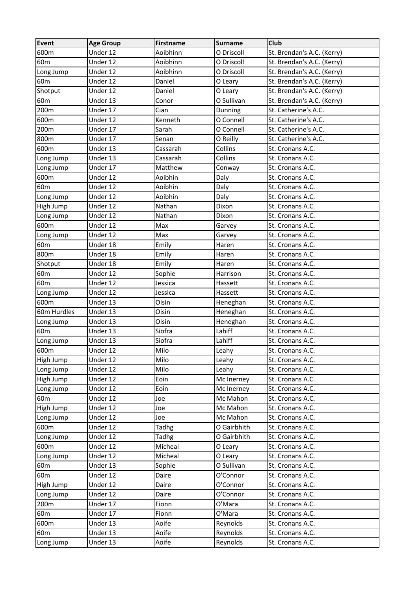| Event           | <b>Age Group</b> | <b>Firstname</b> | <b>Surname</b> | <b>Club</b>                |
|-----------------|------------------|------------------|----------------|----------------------------|
| 600m            | Under 12         | Aoibhinn         | O Driscoll     | St. Brendan's A.C. (Kerry) |
| 60 <sub>m</sub> | Under 12         | Aoibhinn         | O Driscoll     | St. Brendan's A.C. (Kerry) |
| Long Jump       | Under 12         | Aoibhinn         | O Driscoll     | St. Brendan's A.C. (Kerry) |
| 60 <sub>m</sub> | Under 12         | Daniel           | O Leary        | St. Brendan's A.C. (Kerry) |
| Shotput         | Under 12         | Daniel           | O Leary        | St. Brendan's A.C. (Kerry) |
| 60 <sub>m</sub> | Under 13         | Conor            | O Sullivan     | St. Brendan's A.C. (Kerry) |
| 200m            | Under 17         | Cian             | Dunning        | St. Catherine's A.C.       |
| 600m            | Under 12         | Kenneth          | O Connell      | St. Catherine's A.C.       |
| 200m            | Under 17         | Sarah            | O Connell      | St. Catherine's A.C.       |
| 800m            | Under 17         | Senan            | O Reilly       | St. Catherine's A.C.       |
| 600m            | Under 13         | Cassarah         | Collins        | St. Cronans A.C.           |
| Long Jump       | Under 13         | Cassarah         | Collins        | St. Cronans A.C.           |
| Long Jump       | Under 17         | Matthew          | Conway         | St. Cronans A.C.           |
| 600m            | Under 12         | Aoibhin          | Daly           | St. Cronans A.C.           |
| 60 <sub>m</sub> | Under 12         | Aoibhin          | Daly           | St. Cronans A.C.           |
| Long Jump       | Under 12         | Aoibhin          | Daly           | St. Cronans A.C.           |
| High Jump       | Under 12         | Nathan           | Dixon          | St. Cronans A.C.           |
| Long Jump       | Under 12         | Nathan           | Dixon          | St. Cronans A.C.           |
| 600m            | Under 12         | Max              | Garvey         | St. Cronans A.C.           |
| Long Jump       | Under 12         | Max              | Garvey         | St. Cronans A.C.           |
| 60 <sub>m</sub> | Under 18         | Emily            | Haren          | St. Cronans A.C.           |
| 800m            | Under 18         | Emily            | Haren          | St. Cronans A.C.           |
| Shotput         | Under 18         | Emily            | Haren          | St. Cronans A.C.           |
| 60 <sub>m</sub> | Under 12         | Sophie           | Harrison       | St. Cronans A.C.           |
| 60 <sub>m</sub> | Under 12         | Jessica          | Hassett        | St. Cronans A.C.           |
| Long Jump       | Under 12         | Jessica          | Hassett        | St. Cronans A.C.           |
| 600m            | Under 13         | Oisin            | Heneghan       | St. Cronans A.C.           |
| 60m Hurdles     | Under 13         | Oisin            | Heneghan       | St. Cronans A.C.           |
| Long Jump       | Under 13         | Oisin            | Heneghan       | St. Cronans A.C.           |
| 60 <sub>m</sub> | Under 13         | Siofra           | Lahiff         | St. Cronans A.C.           |
| Long Jump       | Under 13         | Siofra           | Lahiff         | St. Cronans A.C.           |
| 600m            | Under 12         | Milo             | Leahy          | St. Cronans A.C.           |
| High Jump       | Under 12         | Milo             | Leahy          | St. Cronans A.C.           |
| Long Jump       | Under 12         | Milo             | Leahy          | St. Cronans A.C.           |
| High Jump       | Under 12         | Eoin             | Mc Inerney     | St. Cronans A.C.           |
| Long Jump       | Under 12         | Eoin             | Mc Inerney     | St. Cronans A.C.           |
| 60 <sub>m</sub> | Under 12         | Joe              | Mc Mahon       | St. Cronans A.C.           |
| High Jump       | Under 12         | Joe              | Mc Mahon       | St. Cronans A.C.           |
| Long Jump       | Under 12         | Joe              | Mc Mahon       | St. Cronans A.C.           |
| 600m            | Under 12         | Tadhg            | O Gairbhith    | St. Cronans A.C.           |
| Long Jump       | Under 12         | <b>Tadhg</b>     | O Gairbhith    | St. Cronans A.C.           |
| 600m            | Under 12         | Micheal          | O Leary        | St. Cronans A.C.           |
| Long Jump       | Under 12         | Micheal          | O Leary        | St. Cronans A.C.           |
| 60 <sub>m</sub> | Under 13         | Sophie           | O Sullivan     | St. Cronans A.C.           |
| 60 <sub>m</sub> | Under 12         | Daire            | O'Connor       | St. Cronans A.C.           |
| High Jump       | Under 12         | Daire            | O'Connor       | St. Cronans A.C.           |
| Long Jump       | Under 12         | Daire            | O'Connor       | St. Cronans A.C.           |
| 200m            | Under 17         | Fionn            | O'Mara         | St. Cronans A.C.           |
| 60 <sub>m</sub> | Under 17         | Fionn            | O'Mara         | St. Cronans A.C.           |
| 600m            | Under 13         | Aoife            | Reynolds       | St. Cronans A.C.           |
| 60 <sub>m</sub> | Under 13         | Aoife            | Reynolds       | St. Cronans A.C.           |
| Long Jump       | Under 13         | Aoife            | Reynolds       | St. Cronans A.C.           |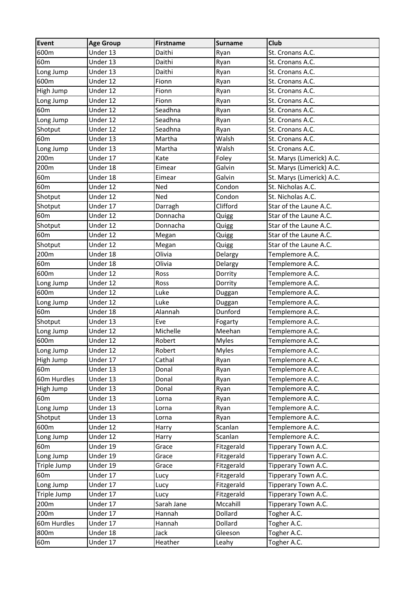| <b>Event</b>    | <b>Age Group</b> | <b>Firstname</b> | <b>Surname</b> | Club                      |
|-----------------|------------------|------------------|----------------|---------------------------|
| 600m            | Under 13         | Daithi           | Ryan           | St. Cronans A.C.          |
| 60 <sub>m</sub> | Under 13         | Daithi           | Ryan           | St. Cronans A.C.          |
| Long Jump       | Under 13         | Daithi           | Ryan           | St. Cronans A.C.          |
| 600m            | Under 12         | Fionn            | Ryan           | St. Cronans A.C.          |
| High Jump       | Under 12         | Fionn            | Ryan           | St. Cronans A.C.          |
| Long Jump       | Under 12         | Fionn            | Ryan           | St. Cronans A.C.          |
| 60 <sub>m</sub> | Under 12         | Seadhna          | Ryan           | St. Cronans A.C.          |
| Long Jump       | Under 12         | Seadhna          | Ryan           | St. Cronans A.C.          |
| Shotput         | Under 12         | Seadhna          | Ryan           | St. Cronans A.C.          |
| 60 <sub>m</sub> | Under 13         | Martha           | Walsh          | St. Cronans A.C.          |
| Long Jump       | Under 13         | Martha           | Walsh          | St. Cronans A.C.          |
| 200m            | Under 17         | Kate             | Foley          | St. Marys (Limerick) A.C. |
| 200m            | Under 18         | Eimear           | Galvin         | St. Marys (Limerick) A.C. |
| 60 <sub>m</sub> | Under 18         | Eimear           | Galvin         | St. Marys (Limerick) A.C. |
| 60 <sub>m</sub> | Under 12         | Ned              | Condon         | St. Nicholas A.C.         |
| Shotput         | Under 12         | Ned              | Condon         | St. Nicholas A.C.         |
| Shotput         | Under 17         | Darragh          | Clifford       | Star of the Laune A.C.    |
| 60 <sub>m</sub> | Under 12         | Donnacha         | Quigg          | Star of the Laune A.C.    |
| Shotput         | Under 12         | Donnacha         | Quigg          | Star of the Laune A.C.    |
| 60 <sub>m</sub> | Under 12         | Megan            | Quigg          | Star of the Laune A.C.    |
| Shotput         | Under 12         | Megan            | Quigg          | Star of the Laune A.C.    |
| 200m            | Under 18         | Olivia           | Delargy        | Templemore A.C.           |
| 60 <sub>m</sub> | Under 18         | Olivia           | Delargy        | Templemore A.C.           |
| 600m            | Under 12         | Ross             | Dorrity        | Templemore A.C.           |
| Long Jump       | Under 12         | Ross             | Dorrity        | Templemore A.C.           |
| 600m            | Under 12         | Luke             | Duggan         | Templemore A.C.           |
| Long Jump       | Under 12         | Luke             | Duggan         | Templemore A.C.           |
| 60 <sub>m</sub> | Under 18         | Alannah          | Dunford        | Templemore A.C.           |
| Shotput         | Under 13         | Eve              | Fogarty        | Templemore A.C.           |
| Long Jump       | Under 12         | Michelle         | Meehan         | Templemore A.C.           |
| 600m            | Under 12         | Robert           | <b>Myles</b>   | Templemore A.C.           |
| Long Jump       | Under 12         | Robert           | <b>Myles</b>   | Templemore A.C.           |
| High Jump       | Under 17         | Cathal           | Ryan           | Templemore A.C.           |
| 60 <sub>m</sub> | Under 13         | Donal            | Ryan           | Templemore A.C.           |
| 60m Hurdles     | Under 13         | Donal            | Ryan           | Templemore A.C.           |
| High Jump       | Under 13         | Donal            | Ryan           | Templemore A.C.           |
| 60 <sub>m</sub> | Under 13         | Lorna            | Ryan           | Templemore A.C.           |
| Long Jump       | Under 13         | Lorna            | Ryan           | Templemore A.C.           |
| Shotput         | Under 13         | Lorna            | Ryan           | Templemore A.C.           |
| 600m            | Under 12         | Harry            | Scanlan        | Templemore A.C.           |
| Long Jump       | Under 12         | Harry            | Scanlan        | Templemore A.C.           |
| 60 <sub>m</sub> | Under 19         | Grace            | Fitzgerald     | Tipperary Town A.C.       |
| Long Jump       | Under 19         | Grace            | Fitzgerald     | Tipperary Town A.C.       |
| Triple Jump     | Under 19         | Grace            | Fitzgerald     | Tipperary Town A.C.       |
| 60 <sub>m</sub> | Under 17         | Lucy             | Fitzgerald     | Tipperary Town A.C.       |
| Long Jump       | Under 17         | Lucy             | Fitzgerald     | Tipperary Town A.C.       |
| Triple Jump     | Under 17         | Lucy             | Fitzgerald     | Tipperary Town A.C.       |
| 200m            | Under 17         | Sarah Jane       | Mccahill       | Tipperary Town A.C.       |
| 200m            | Under 17         | Hannah           | Dollard        | Togher A.C.               |
| 60m Hurdles     | Under 17         | Hannah           | Dollard        | Togher A.C.               |
| 800m            | Under 18         | Jack             | Gleeson        | Togher A.C.               |
| 60m             | Under 17         | Heather          | Leahy          | Togher A.C.               |
|                 |                  |                  |                |                           |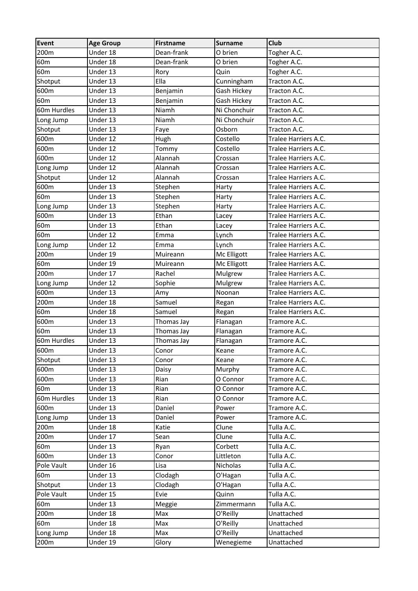| Event           | <b>Age Group</b> | <b>Firstname</b> | <b>Surname</b> | <b>Club</b>          |
|-----------------|------------------|------------------|----------------|----------------------|
| 200m            | Under 18         | Dean-frank       | O brien        | Togher A.C.          |
| 60 <sub>m</sub> | Under 18         | Dean-frank       | O brien        | Togher A.C.          |
| 60 <sub>m</sub> | Under 13         | Rory             | Quin           | Togher A.C.          |
| Shotput         | Under 13         | Ella             | Cunningham     | Tracton A.C.         |
| 600m            | Under 13         | Benjamin         | Gash Hickey    | Tracton A.C.         |
| 60 <sub>m</sub> | Under 13         | Benjamin         | Gash Hickey    | Tracton A.C.         |
| 60m Hurdles     | Under 13         | Niamh            | Ni Chonchuir   | Tracton A.C.         |
| Long Jump       | Under 13         | Niamh            | Ni Chonchuir   | Tracton A.C.         |
| Shotput         | Under 13         | Faye             | Osborn         | Tracton A.C.         |
| 600m            | Under 12         | Hugh             | Costello       | Tralee Harriers A.C. |
| 600m            | Under 12         | Tommy            | Costello       | Tralee Harriers A.C. |
| 600m            | Under 12         | Alannah          | Crossan        | Tralee Harriers A.C. |
| Long Jump       | Under 12         | Alannah          | Crossan        | Tralee Harriers A.C. |
| Shotput         | Under 12         | Alannah          | Crossan        | Tralee Harriers A.C. |
| 600m            | Under 13         | Stephen          | Harty          | Tralee Harriers A.C. |
| 60 <sub>m</sub> | Under 13         | Stephen          | Harty          | Tralee Harriers A.C. |
| Long Jump       | Under 13         | Stephen          | Harty          | Tralee Harriers A.C. |
| 600m            | Under 13         | Ethan            | Lacey          | Tralee Harriers A.C. |
| 60 <sub>m</sub> | Under 13         | Ethan            | Lacey          | Tralee Harriers A.C. |
| 60 <sub>m</sub> | Under 12         | Emma             | Lynch          | Tralee Harriers A.C. |
| Long Jump       | Under 12         | Emma             | Lynch          | Tralee Harriers A.C. |
| 200m            | Under 19         | Muireann         | Mc Elligott    | Tralee Harriers A.C. |
| 60 <sub>m</sub> | Under 19         | Muireann         | Mc Elligott    | Tralee Harriers A.C. |
| 200m            | Under 17         | Rachel           | Mulgrew        | Tralee Harriers A.C. |
| Long Jump       | Under 12         | Sophie           | Mulgrew        | Tralee Harriers A.C. |
| 600m            | Under 13         | Amy              | Noonan         | Tralee Harriers A.C. |
| 200m            | Under 18         | Samuel           | Regan          | Tralee Harriers A.C. |
| 60 <sub>m</sub> | Under 18         | Samuel           | Regan          | Tralee Harriers A.C. |
| 600m            | Under 13         | Thomas Jay       | Flanagan       | Tramore A.C.         |
| 60 <sub>m</sub> | Under 13         | Thomas Jay       | Flanagan       | Tramore A.C.         |
| 60m Hurdles     | Under 13         | Thomas Jay       | Flanagan       | Tramore A.C.         |
| 600m            | Under 13         | Conor            | Keane          | Tramore A.C.         |
| Shotput         | Under 13         | Conor            | Keane          | Tramore A.C.         |
| 600m            | Under 13         | Daisy            | Murphy         | Tramore A.C.         |
| 600m            | Under 13         | Rian             | O Connor       | Tramore A.C.         |
| 60 <sub>m</sub> | Under 13         | Rian             | O Connor       | Tramore A.C.         |
| 60m Hurdles     | Under 13         | Rian             | O Connor       | Tramore A.C.         |
| 600m            | Under 13         | Daniel           | Power          | Tramore A.C.         |
| Long Jump       | Under 13         | Daniel           | Power          | Tramore A.C.         |
| 200m            | Under 18         | Katie            | Clune          | Tulla A.C.           |
| 200m            | Under 17         | Sean             | Clune          | Tulla A.C.           |
| 60 <sub>m</sub> | Under 13         | Ryan             | Corbett        | Tulla A.C.           |
| 600m            | Under 13         | Conor            | Littleton      | Tulla A.C.           |
| Pole Vault      | Under 16         | Lisa             | Nicholas       | Tulla A.C.           |
| 60 <sub>m</sub> | Under 13         | Clodagh          | O'Hagan        | Tulla A.C.           |
| Shotput         | Under 13         | Clodagh          | O'Hagan        | Tulla A.C.           |
| Pole Vault      | Under 15         | Evie             | Quinn          | Tulla A.C.           |
| 60 <sub>m</sub> | Under 13         | Meggie           | Zimmermann     | Tulla A.C.           |
| 200m            | Under 18         | Max              | O'Reilly       | Unattached           |
| 60 <sub>m</sub> | Under 18         | Max              | O'Reilly       | Unattached           |
| Long Jump       | Under 18         | Max              | O'Reilly       | Unattached           |
| 200m            | Under 19         | Glory            | Wenegieme      | Unattached           |
|                 |                  |                  |                |                      |